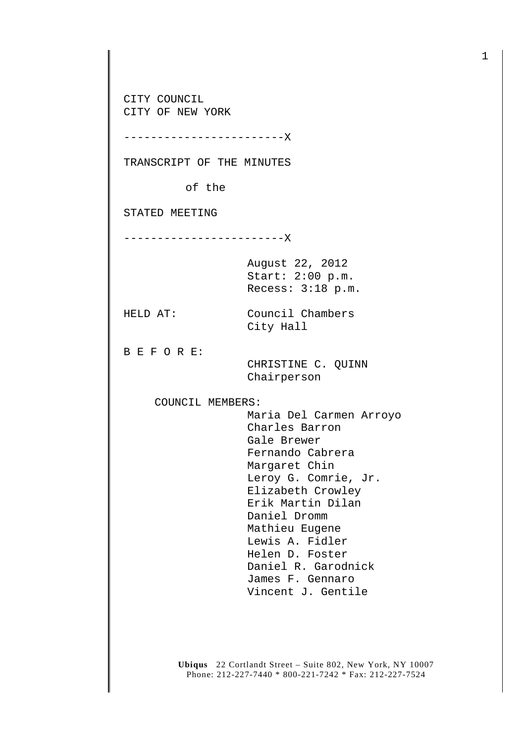CITY COUNCIL CITY OF NEW YORK

------------------------X

TRANSCRIPT OF THE MINUTES

of the

STATED MEETING

------------------------X

August 22, 2012 Start: 2:00 p.m. Recess: 3:18 p.m.

City Hall

HELD AT: Council Chambers

B E F O R E:

 CHRISTINE C. QUINN Chairperson

COUNCIL MEMBERS:

 Maria Del Carmen Arroyo Charles Barron Gale Brewer Fernando Cabrera Margaret Chin Leroy G. Comrie, Jr. Elizabeth Crowley Erik Martin Dilan Daniel Dromm Mathieu Eugene Lewis A. Fidler Helen D. Foster Daniel R. Garodnick James F. Gennaro Vincent J. Gentile

**Ubiqus** 22 Cortlandt Street – Suite 802, New York, NY 10007 Phone: 212-227-7440 \* 800-221-7242 \* Fax: 212-227-7524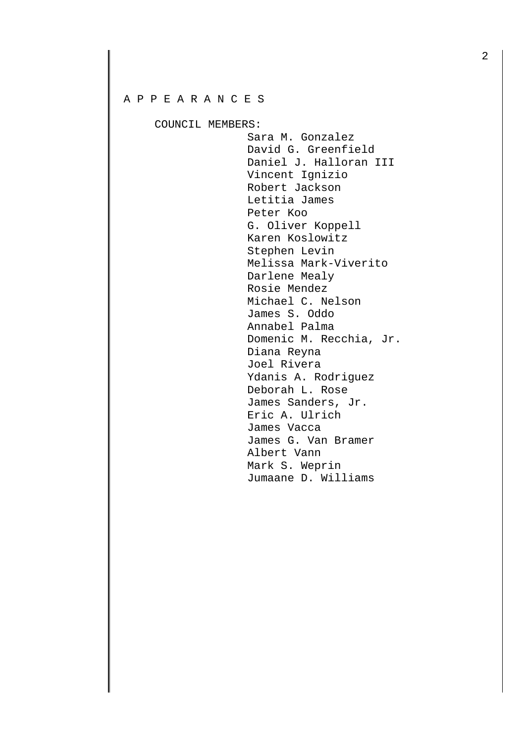## A P P E A R A N C E S

COUNCIL MEMBERS:

 Sara M. Gonzalez David G. Greenfield Daniel J. Halloran III Vincent Ignizio Robert Jackson Letitia James Peter Koo G. Oliver Koppell Karen Koslowitz Stephen Levin Melissa Mark-Viverito Darlene Mealy Rosie Mendez Michael C. Nelson James S. Oddo Annabel Palma Domenic M. Recchia, Jr. Diana Reyna Joel Rivera Ydanis A. Rodriguez Deborah L. Rose James Sanders, Jr. Eric A. Ulrich James Vacca James G. Van Bramer Albert Vann Mark S. Weprin Jumaane D. Williams

2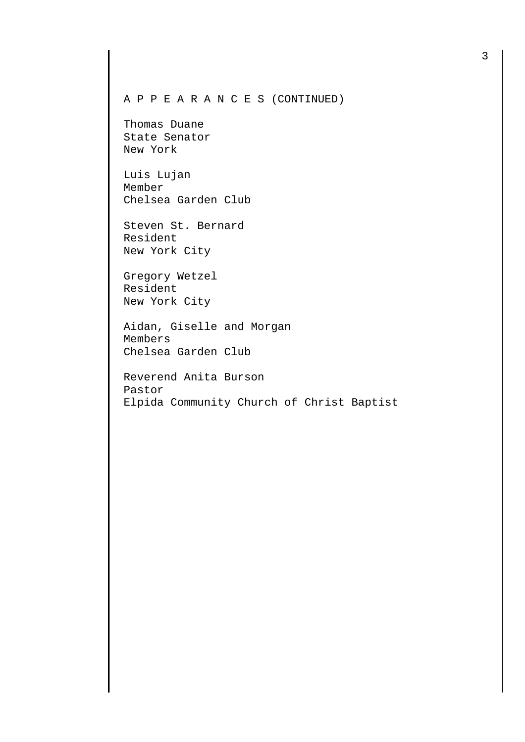## A P P E A R A N C E S (CONTINUED)

Thomas Duane State Senator New York

Luis Lujan Member Chelsea Garden Club

Steven St. Bernard Resident New York City

Gregory Wetzel Resident New York City

Aidan, Giselle and Morgan Members Chelsea Garden Club

Reverend Anita Burson Pastor Elpida Community Church of Christ Baptist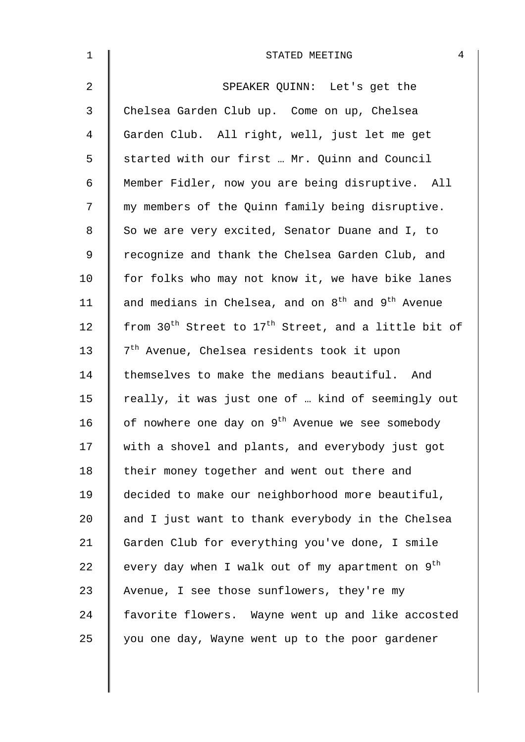| $\mathbf{1}$ | 4<br>STATED MEETING                                                          |
|--------------|------------------------------------------------------------------------------|
| 2            | SPEAKER QUINN: Let's get the                                                 |
| 3            | Chelsea Garden Club up. Come on up, Chelsea                                  |
| 4            | Garden Club. All right, well, just let me get                                |
| 5            | started with our first  Mr. Quinn and Council                                |
| 6            | Member Fidler, now you are being disruptive. All                             |
| 7            | my members of the Quinn family being disruptive.                             |
| 8            | So we are very excited, Senator Duane and I, to                              |
| 9            | recognize and thank the Chelsea Garden Club, and                             |
| $10 \,$      | for folks who may not know it, we have bike lanes                            |
| 11           | and medians in Chelsea, and on 8 <sup>th</sup> and 9 <sup>th</sup> Avenue    |
| 12           | from 30 <sup>th</sup> Street to 17 <sup>th</sup> Street, and a little bit of |
| 13           | 7 <sup>th</sup> Avenue, Chelsea residents took it upon                       |
| 14           | themselves to make the medians beautiful. And                                |
| 15           | really, it was just one of  kind of seemingly out                            |
| 16           | of nowhere one day on 9 <sup>th</sup> Avenue we see somebody                 |
| 17           | with a shovel and plants, and everybody just got                             |
| 18           | their money together and went out there and                                  |
| 19           | decided to make our neighborhood more beautiful,                             |
| 20           | and I just want to thank everybody in the Chelsea                            |
| 21           | Garden Club for everything you've done, I smile                              |
| 22           | every day when I walk out of my apartment on 9 <sup>th</sup>                 |
| 23           | Avenue, I see those sunflowers, they're my                                   |
| 24           | favorite flowers. Wayne went up and like accosted                            |
| 25           | you one day, Wayne went up to the poor gardener                              |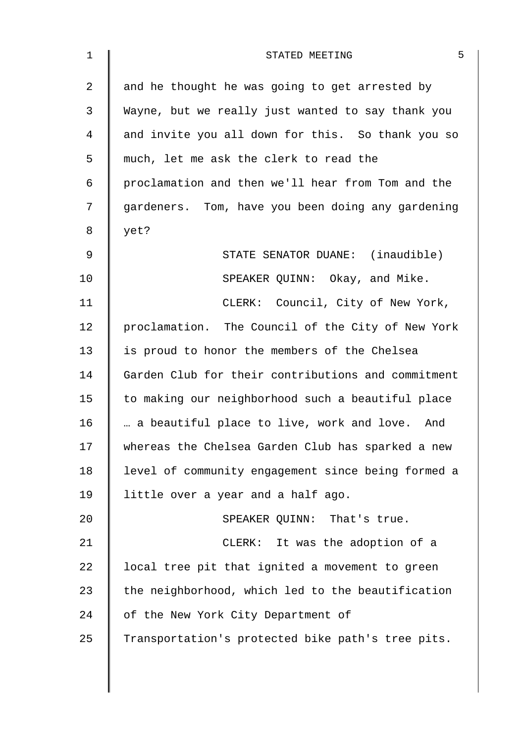| $\mathbf 1$ | 5<br>STATED MEETING                                |
|-------------|----------------------------------------------------|
| 2           | and he thought he was going to get arrested by     |
| 3           | Wayne, but we really just wanted to say thank you  |
| 4           | and invite you all down for this. So thank you so  |
| 5           | much, let me ask the clerk to read the             |
| 6           | proclamation and then we'll hear from Tom and the  |
| 7           | gardeners. Tom, have you been doing any gardening  |
| 8           | yet?                                               |
| 9           | STATE SENATOR DUANE: (inaudible)                   |
| 10          | SPEAKER QUINN: Okay, and Mike.                     |
| 11          | CLERK: Council, City of New York,                  |
| 12          | proclamation. The Council of the City of New York  |
| 13          | is proud to honor the members of the Chelsea       |
| 14          | Garden Club for their contributions and commitment |
| 15          | to making our neighborhood such a beautiful place  |
| 16          | a beautiful place to live, work and love. And      |
| 17          | whereas the Chelsea Garden Club has sparked a new  |
| 18          | level of community engagement since being formed a |
| 19          | little over a year and a half ago.                 |
| 20          | SPEAKER QUINN: That's true.                        |
| 21          | CLERK: It was the adoption of a                    |
| 22          | local tree pit that ignited a movement to green    |
| 23          | the neighborhood, which led to the beautification  |
| 24          | of the New York City Department of                 |
| 25          | Transportation's protected bike path's tree pits.  |
|             |                                                    |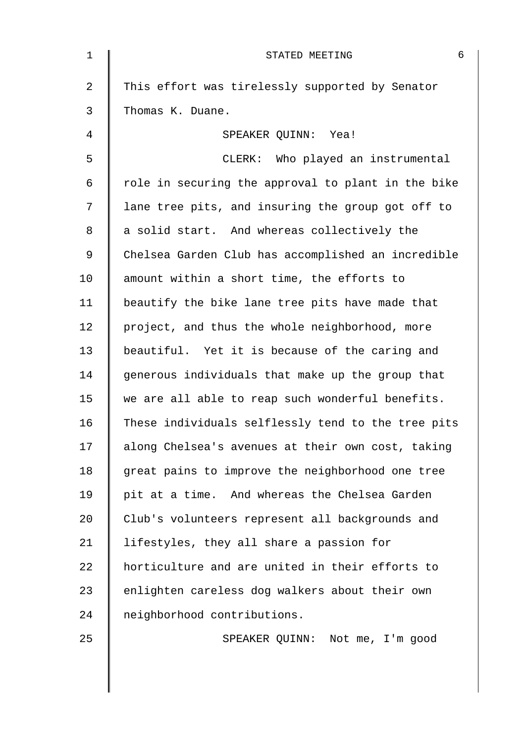| $\mathbf 1$ | 6<br>STATED MEETING                                |
|-------------|----------------------------------------------------|
| 2           | This effort was tirelessly supported by Senator    |
| 3           | Thomas K. Duane.                                   |
| 4           | SPEAKER QUINN: Yea!                                |
| 5           | CLERK: Who played an instrumental                  |
| 6           | role in securing the approval to plant in the bike |
| 7           | lane tree pits, and insuring the group got off to  |
| 8           | a solid start. And whereas collectively the        |
| 9           | Chelsea Garden Club has accomplished an incredible |
| 10          | amount within a short time, the efforts to         |
| 11          | beautify the bike lane tree pits have made that    |
| 12          | project, and thus the whole neighborhood, more     |
| 13          | beautiful. Yet it is because of the caring and     |
| 14          | generous individuals that make up the group that   |
| 15          | we are all able to reap such wonderful benefits.   |
| 16          | These individuals selflessly tend to the tree pits |
| 17          | along Chelsea's avenues at their own cost, taking  |
| 18          | great pains to improve the neighborhood one tree   |
| 19          | pit at a time. And whereas the Chelsea Garden      |
| 20          | Club's volunteers represent all backgrounds and    |
| 21          | lifestyles, they all share a passion for           |
| 22          | horticulture and are united in their efforts to    |
| 23          | enlighten careless dog walkers about their own     |
| 24          | neighborhood contributions.                        |
| 25          | SPEAKER QUINN: Not me, I'm good                    |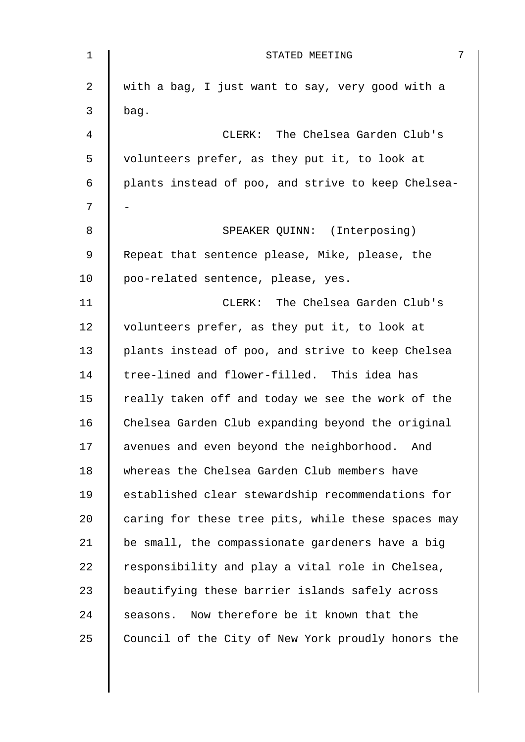| $\mathbf 1$    | 7<br>STATED MEETING                                |
|----------------|----------------------------------------------------|
| $\overline{a}$ | with a bag, I just want to say, very good with a   |
| 3              | bag.                                               |
| 4              | CLERK: The Chelsea Garden Club's                   |
| 5              | volunteers prefer, as they put it, to look at      |
| 6              | plants instead of poo, and strive to keep Chelsea- |
| 7              |                                                    |
| 8              | SPEAKER QUINN: (Interposing)                       |
| 9              | Repeat that sentence please, Mike, please, the     |
| 10             | poo-related sentence, please, yes.                 |
| 11             | CLERK: The Chelsea Garden Club's                   |
| 12             | volunteers prefer, as they put it, to look at      |
| 13             | plants instead of poo, and strive to keep Chelsea  |
| 14             | tree-lined and flower-filled. This idea has        |
| 15             | really taken off and today we see the work of the  |
| 16             | Chelsea Garden Club expanding beyond the original  |
| 17             | avenues and even beyond the neighborhood. And      |
| 18             | whereas the Chelsea Garden Club members have       |
| 19             | established clear stewardship recommendations for  |
| 20             | caring for these tree pits, while these spaces may |
| 21             | be small, the compassionate gardeners have a big   |
| 22             | responsibility and play a vital role in Chelsea,   |
| 23             | beautifying these barrier islands safely across    |
| 24             | seasons. Now therefore be it known that the        |
| 25             | Council of the City of New York proudly honors the |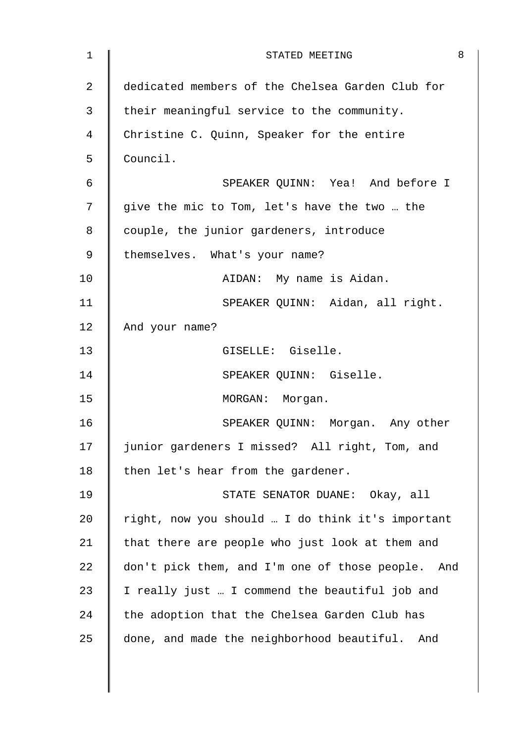| dedicated members of the Chelsea Garden Club for |     |
|--------------------------------------------------|-----|
|                                                  |     |
| their meaningful service to the community.       |     |
| Christine C. Quinn, Speaker for the entire       |     |
| Council.                                         |     |
| SPEAKER QUINN: Yea! And before I                 |     |
| give the mic to Tom, let's have the two  the     |     |
| couple, the junior gardeners, introduce          |     |
| themselves. What's your name?                    |     |
| AIDAN: My name is Aidan.                         |     |
| SPEAKER QUINN: Aidan, all right.                 |     |
| And your name?                                   |     |
| GISELLE: Giselle.                                |     |
| SPEAKER QUINN: Giselle.                          |     |
| MORGAN: Morgan.                                  |     |
| SPEAKER QUINN: Morgan. Any other                 |     |
| junior gardeners I missed? All right, Tom, and   |     |
| then let's hear from the gardener.               |     |
| STATE SENATOR DUANE: Okay, all                   |     |
| right, now you should  I do think it's important |     |
| that there are people who just look at them and  |     |
| don't pick them, and I'm one of those people.    |     |
| I really just  I commend the beautiful job and   |     |
| the adoption that the Chelsea Garden Club has    |     |
| done, and made the neighborhood beautiful. And   |     |
|                                                  | And |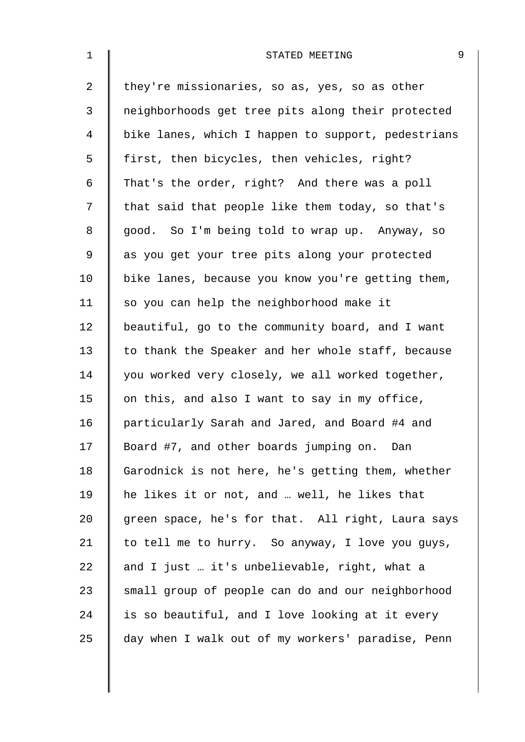| $\mathbf 1$ | 9<br>STATED MEETING                                |  |
|-------------|----------------------------------------------------|--|
| 2           | they're missionaries, so as, yes, so as other      |  |
| 3           | neighborhoods get tree pits along their protected  |  |
| 4           | bike lanes, which I happen to support, pedestrians |  |
| 5           | first, then bicycles, then vehicles, right?        |  |
| 6           | That's the order, right? And there was a poll      |  |
| 7           | that said that people like them today, so that's   |  |
| $\,8\,$     | good. So I'm being told to wrap up. Anyway, so     |  |
| $\mathsf 9$ | as you get your tree pits along your protected     |  |
| 10          | bike lanes, because you know you're getting them,  |  |
| 11          | so you can help the neighborhood make it           |  |
| 12          | beautiful, go to the community board, and I want   |  |
| 13          | to thank the Speaker and her whole staff, because  |  |
| 14          | you worked very closely, we all worked together,   |  |
| 15          | on this, and also I want to say in my office,      |  |
| 16          | particularly Sarah and Jared, and Board #4 and     |  |
| 17          | Board #7, and other boards jumping on. Dan         |  |
| 18          | Garodnick is not here, he's getting them, whether  |  |
| 19          | he likes it or not, and  well, he likes that       |  |
| 20          | green space, he's for that. All right, Laura says  |  |
| 21          | to tell me to hurry. So anyway, I love you guys,   |  |
| 22          | and I just  it's unbelievable, right, what a       |  |
| 23          | small group of people can do and our neighborhood  |  |
| 24          | is so beautiful, and I love looking at it every    |  |
| 25          | day when I walk out of my workers' paradise, Penn  |  |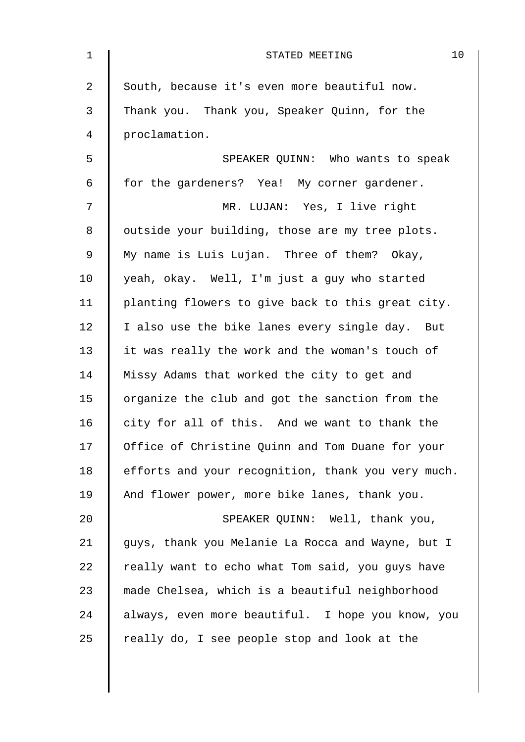| $\mathbf 1$    | 10<br>STATED MEETING                               |
|----------------|----------------------------------------------------|
| $\overline{a}$ | South, because it's even more beautiful now.       |
| 3              | Thank you. Thank you, Speaker Quinn, for the       |
| $\overline{4}$ | proclamation.                                      |
| 5              | SPEAKER QUINN: Who wants to speak                  |
| 6              | for the gardeners? Yea! My corner gardener.        |
| 7              | MR. LUJAN: Yes, I live right                       |
| 8              | outside your building, those are my tree plots.    |
| $\mathsf 9$    | My name is Luis Lujan. Three of them? Okay,        |
| 10             | yeah, okay. Well, I'm just a guy who started       |
| 11             | planting flowers to give back to this great city.  |
| 12             | I also use the bike lanes every single day. But    |
| 13             | it was really the work and the woman's touch of    |
| 14             | Missy Adams that worked the city to get and        |
| 15             | organize the club and got the sanction from the    |
| 16             | city for all of this. And we want to thank the     |
| 17             | Office of Christine Quinn and Tom Duane for your   |
| 18             | efforts and your recognition, thank you very much. |
| 19             | And flower power, more bike lanes, thank you.      |
| 20             | SPEAKER QUINN: Well, thank you,                    |
| 21             | guys, thank you Melanie La Rocca and Wayne, but I  |
| 22             | really want to echo what Tom said, you guys have   |
| 23             | made Chelsea, which is a beautiful neighborhood    |
| 24             | always, even more beautiful. I hope you know, you  |
| 25             | really do, I see people stop and look at the       |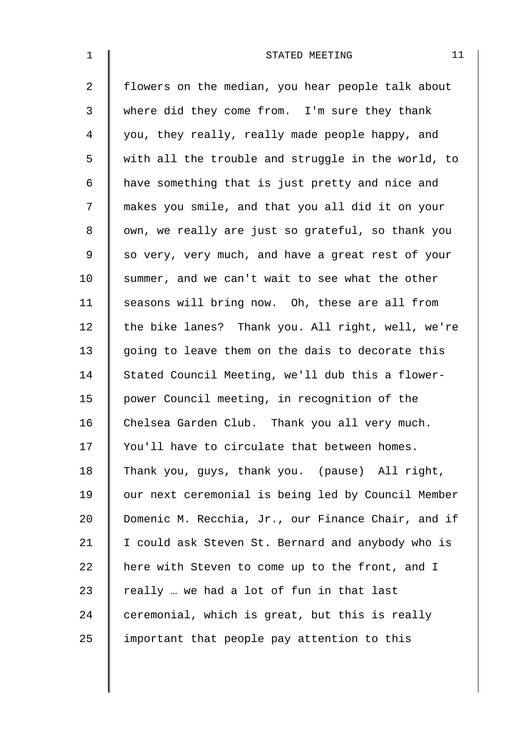| $\mathbf{1}$ | 11<br>STATED MEETING                               |
|--------------|----------------------------------------------------|
| 2            | flowers on the median, you hear people talk about  |
| 3            | where did they come from. I'm sure they thank      |
| 4            | you, they really, really made people happy, and    |
| 5            | with all the trouble and struggle in the world, to |
| 6            | have something that is just pretty and nice and    |
| 7            | makes you smile, and that you all did it on your   |
| 8            | own, we really are just so grateful, so thank you  |
| 9            | so very, very much, and have a great rest of your  |
| 10           | summer, and we can't wait to see what the other    |
| 11           | seasons will bring now. Oh, these are all from     |
| 12           | the bike lanes? Thank you. All right, well, we're  |
| 13           | going to leave them on the dais to decorate this   |
| 14           | Stated Council Meeting, we'll dub this a flower-   |
| 15           | power Council meeting, in recognition of the       |
| 16           | Chelsea Garden Club. Thank you all very much.      |
| 17           | You'll have to circulate that between homes.       |
| 18           | Thank you, guys, thank you. (pause) All right,     |
| 19           | our next ceremonial is being led by Council Member |
| 20           | Domenic M. Recchia, Jr., our Finance Chair, and if |
| 21           | I could ask Steven St. Bernard and anybody who is  |
| 22           | here with Steven to come up to the front, and I    |
| 23           | really  we had a lot of fun in that last           |
| 24           | ceremonial, which is great, but this is really     |
| 25           | important that people pay attention to this        |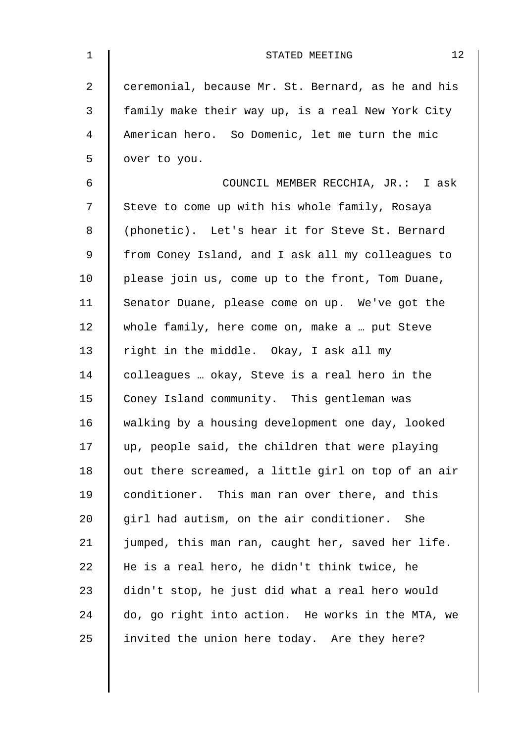| $\mathbf{1}$ | 12<br>STATED MEETING                               |
|--------------|----------------------------------------------------|
| 2            | ceremonial, because Mr. St. Bernard, as he and his |
| 3            | family make their way up, is a real New York City  |
| 4            | American hero. So Domenic, let me turn the mic     |
| 5            | over to you.                                       |
| 6            | COUNCIL MEMBER RECCHIA, JR.: I ask                 |
| 7            | Steve to come up with his whole family, Rosaya     |
| 8            | (phonetic). Let's hear it for Steve St. Bernard    |
| 9            | from Coney Island, and I ask all my colleagues to  |
| 10           | please join us, come up to the front, Tom Duane,   |
| 11           | Senator Duane, please come on up. We've got the    |
| 12           | whole family, here come on, make a  put Steve      |
| 13           | right in the middle. Okay, I ask all my            |
| 14           | colleagues  okay, Steve is a real hero in the      |
| 15           | Coney Island community. This gentleman was         |
| 16           | walking by a housing development one day, looked   |
| 17           | up, people said, the children that were playing    |
| 18           | out there screamed, a little girl on top of an air |
| 19           | conditioner. This man ran over there, and this     |
| 20           | girl had autism, on the air conditioner. She       |
| 21           | jumped, this man ran, caught her, saved her life.  |
| 22           | He is a real hero, he didn't think twice, he       |
| 23           | didn't stop, he just did what a real hero would    |
| 24           | do, go right into action. He works in the MTA, we  |
| 25           | invited the union here today. Are they here?       |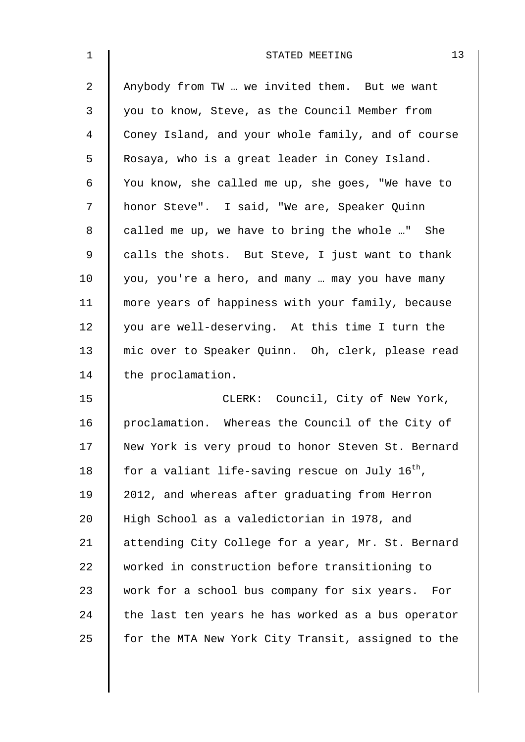| $\mathbf 1$    | 13<br>STATED MEETING                                        |
|----------------|-------------------------------------------------------------|
| $\overline{a}$ | Anybody from TW  we invited them. But we want               |
| 3              | you to know, Steve, as the Council Member from              |
| 4              | Coney Island, and your whole family, and of course          |
| 5              | Rosaya, who is a great leader in Coney Island.              |
| 6              | You know, she called me up, she goes, "We have to           |
| 7              | honor Steve". I said, "We are, Speaker Quinn                |
| 8              | called me up, we have to bring the whole " She              |
| $\mathsf 9$    | calls the shots. But Steve, I just want to thank            |
| 10             | you, you're a hero, and many  may you have many             |
| 11             | more years of happiness with your family, because           |
| 12             | you are well-deserving. At this time I turn the             |
| 13             | mic over to Speaker Quinn. Oh, clerk, please read           |
| 14             | the proclamation.                                           |
| 15             | CLERK: Council, City of New York,                           |
| 16             | proclamation. Whereas the Council of the City of            |
| 17             | New York is very proud to honor Steven St. Bernard          |
| 18             | for a valiant life-saving rescue on July 16 <sup>th</sup> , |
| 19             | 2012, and whereas after graduating from Herron              |
| 20             | High School as a valedictorian in 1978, and                 |
| 21             | attending City College for a year, Mr. St. Bernard          |
| 22             | worked in construction before transitioning to              |
| 23             | work for a school bus company for six years.<br>For         |
| 24             | the last ten years he has worked as a bus operator          |
| 25             | for the MTA New York City Transit, assigned to the          |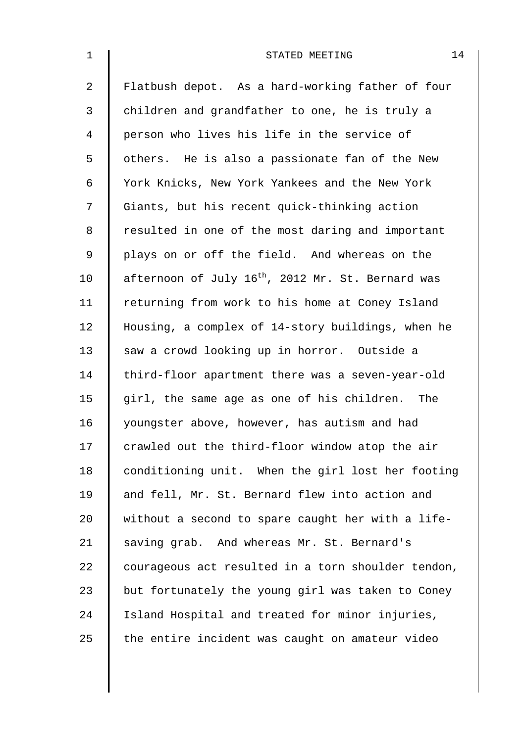| $\mathbf{1}$   | 14<br>STATED MEETING                                          |
|----------------|---------------------------------------------------------------|
| $\overline{a}$ | Flatbush depot. As a hard-working father of four              |
| 3              | children and grandfather to one, he is truly a                |
| 4              | person who lives his life in the service of                   |
| 5              | others. He is also a passionate fan of the New                |
| 6              | York Knicks, New York Yankees and the New York                |
| 7              | Giants, but his recent quick-thinking action                  |
| 8              | resulted in one of the most daring and important              |
| 9              | plays on or off the field. And whereas on the                 |
| 10             | afternoon of July 16 <sup>th</sup> , 2012 Mr. St. Bernard was |
| 11             | returning from work to his home at Coney Island               |
| 12             | Housing, a complex of 14-story buildings, when he             |
| 13             | saw a crowd looking up in horror. Outside a                   |
| 14             | third-floor apartment there was a seven-year-old              |
| 15             | girl, the same age as one of his children. The                |
| 16             | youngster above, however, has autism and had                  |
| 17             | crawled out the third-floor window atop the air               |
| 18             | conditioning unit. When the girl lost her footing             |
| 19             | and fell, Mr. St. Bernard flew into action and                |
| 20             | without a second to spare caught her with a life-             |
| 21             | saving grab. And whereas Mr. St. Bernard's                    |
| 22             | courageous act resulted in a torn shoulder tendon,            |
| 23             | but fortunately the young girl was taken to Coney             |
| 24             | Island Hospital and treated for minor injuries,               |
| 25             | the entire incident was caught on amateur video               |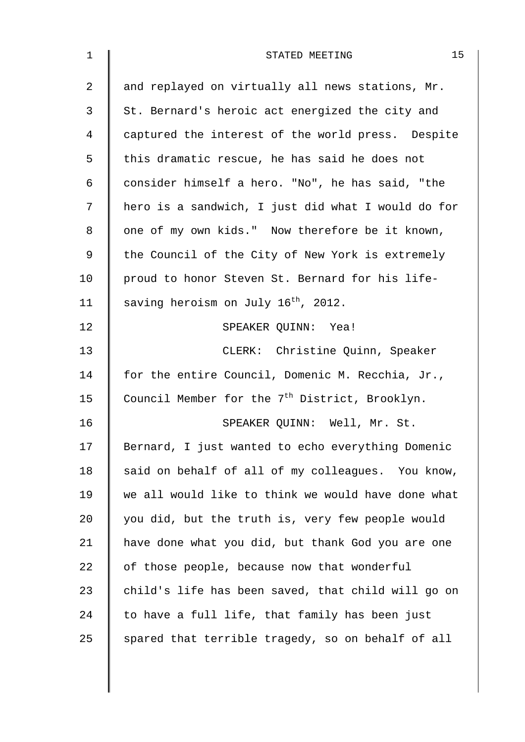| 1  | 15<br>STATED MEETING                                       |
|----|------------------------------------------------------------|
| 2  | and replayed on virtually all news stations, Mr.           |
| 3  | St. Bernard's heroic act energized the city and            |
| 4  | captured the interest of the world press. Despite          |
| 5  | this dramatic rescue, he has said he does not              |
| 6  | consider himself a hero. "No", he has said, "the           |
| 7  | hero is a sandwich, I just did what I would do for         |
| 8  | one of my own kids." Now therefore be it known,            |
| 9  | the Council of the City of New York is extremely           |
| 10 | proud to honor Steven St. Bernard for his life-            |
| 11 | saving heroism on July 16 <sup>th</sup> , 2012.            |
| 12 | SPEAKER QUINN: Yea!                                        |
| 13 | CLERK: Christine Quinn, Speaker                            |
| 14 | for the entire Council, Domenic M. Recchia, Jr.,           |
| 15 | Council Member for the 7 <sup>th</sup> District, Brooklyn. |
| 16 | SPEAKER QUINN: Well, Mr. St.                               |
| 17 | Bernard, I just wanted to echo everything Domenic          |
| 18 | said on behalf of all of my colleagues. You know,          |
| 19 | we all would like to think we would have done what         |
| 20 | you did, but the truth is, very few people would           |
| 21 | have done what you did, but thank God you are one          |
| 22 | of those people, because now that wonderful                |
| 23 | child's life has been saved, that child will go on         |
| 24 | to have a full life, that family has been just             |
| 25 | spared that terrible tragedy, so on behalf of all          |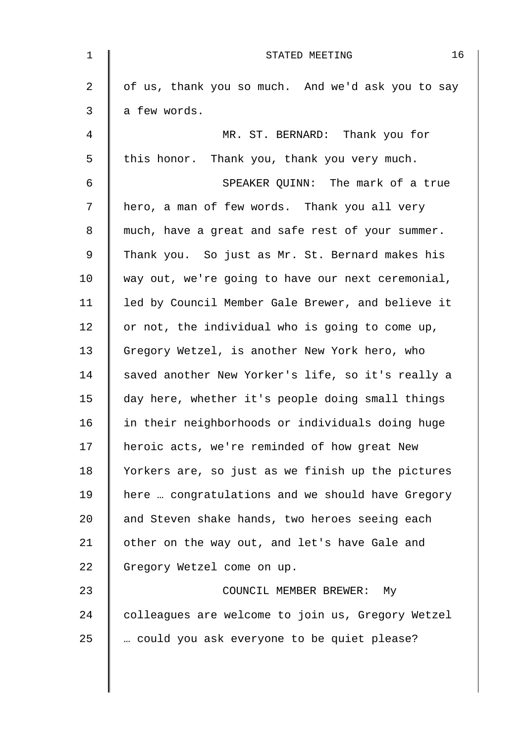| $\mathbf{1}$ | 16<br>STATED MEETING                              |
|--------------|---------------------------------------------------|
| 2            | of us, thank you so much. And we'd ask you to say |
| 3            | a few words.                                      |
| 4            | MR. ST. BERNARD: Thank you for                    |
| 5            | this honor. Thank you, thank you very much.       |
| 6            | SPEAKER QUINN: The mark of a true                 |
| 7            | hero, a man of few words. Thank you all very      |
| 8            | much, have a great and safe rest of your summer.  |
| 9            | Thank you. So just as Mr. St. Bernard makes his   |
| 10           | way out, we're going to have our next ceremonial, |
| 11           | led by Council Member Gale Brewer, and believe it |
| 12           | or not, the individual who is going to come up,   |
| 13           | Gregory Wetzel, is another New York hero, who     |
| 14           | saved another New Yorker's life, so it's really a |
| 15           | day here, whether it's people doing small things  |
| 16           | in their neighborhoods or individuals doing huge  |
| 17           | heroic acts, we're reminded of how great New      |
| 18           | Yorkers are, so just as we finish up the pictures |
| 19           | here  congratulations and we should have Gregory  |
| 20           | and Steven shake hands, two heroes seeing each    |
| 21           | other on the way out, and let's have Gale and     |
| 22           | Gregory Wetzel come on up.                        |
| 23           | COUNCIL MEMBER BREWER: My                         |
| 24           | colleagues are welcome to join us, Gregory Wetzel |
| 25           | could you ask everyone to be quiet please?        |
|              |                                                   |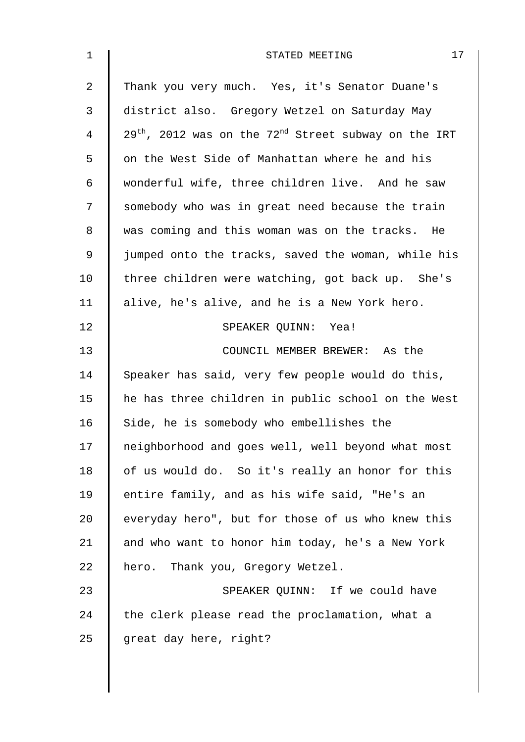| $\mathbf{1}$   | 17<br>STATED MEETING                                           |
|----------------|----------------------------------------------------------------|
| $\overline{a}$ | Thank you very much. Yes, it's Senator Duane's                 |
| 3              | district also. Gregory Wetzel on Saturday May                  |
| 4              | $29^{th}$ , 2012 was on the $72^{nd}$ Street subway on the IRT |
| 5              | on the West Side of Manhattan where he and his                 |
| 6              | wonderful wife, three children live. And he saw                |
| 7              | somebody who was in great need because the train               |
| 8              | was coming and this woman was on the tracks. He                |
| $\mathsf 9$    | jumped onto the tracks, saved the woman, while his             |
| 10             | three children were watching, got back up. She's               |
| 11             | alive, he's alive, and he is a New York hero.                  |
| 12             | SPEAKER QUINN: Yea!                                            |
| 13             | COUNCIL MEMBER BREWER: As the                                  |
| 14             | Speaker has said, very few people would do this,               |
| 15             | he has three children in public school on the West             |
| 16             | Side, he is somebody who embellishes the                       |
| 17             | neighborhood and goes well, well beyond what most              |
| 18             | of us would do. So it's really an honor for this               |
| 19             | entire family, and as his wife said, "He's an                  |
| 20             | everyday hero", but for those of us who knew this              |
| 21             | and who want to honor him today, he's a New York               |
| 22             | hero. Thank you, Gregory Wetzel.                               |
| 23             | SPEAKER QUINN: If we could have                                |
| 24             | the clerk please read the proclamation, what a                 |
| 25             | great day here, right?                                         |
|                |                                                                |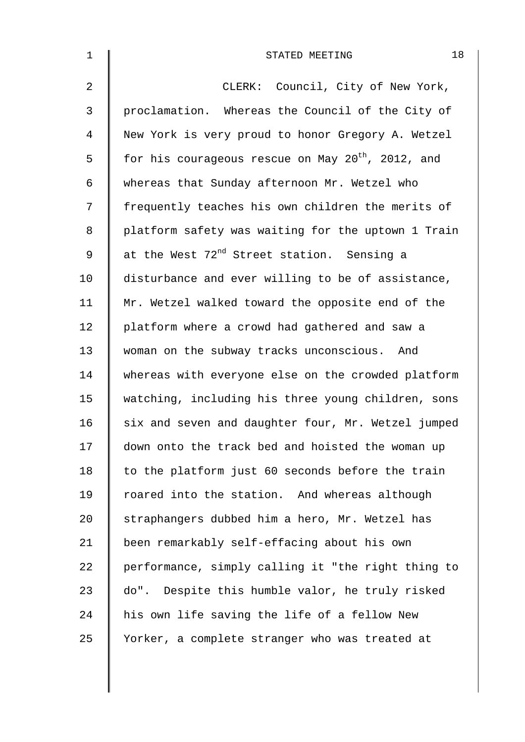| $\mathbf 1$    | 18<br>STATED MEETING                                          |
|----------------|---------------------------------------------------------------|
| $\overline{2}$ | CLERK: Council, City of New York,                             |
| $\mathsf{3}$   | proclamation. Whereas the Council of the City of              |
| $\overline{4}$ | New York is very proud to honor Gregory A. Wetzel             |
| 5              | for his courageous rescue on May 20 <sup>th</sup> , 2012, and |
| 6              | whereas that Sunday afternoon Mr. Wetzel who                  |
| 7              | frequently teaches his own children the merits of             |
| 8              | platform safety was waiting for the uptown 1 Train            |
| 9              | at the West 72 <sup>nd</sup> Street station. Sensing a        |
| 10             | disturbance and ever willing to be of assistance,             |
| 11             | Mr. Wetzel walked toward the opposite end of the              |
| 12             | platform where a crowd had gathered and saw a                 |
| 13             | woman on the subway tracks unconscious. And                   |
| 14             | whereas with everyone else on the crowded platform            |
| 15             | watching, including his three young children, sons            |
| 16             | six and seven and daughter four, Mr. Wetzel jumped            |
| 17             | down onto the track bed and hoisted the woman up              |
| 18             | to the platform just 60 seconds before the train              |
| 19             | roared into the station. And whereas although                 |
| 20             | straphangers dubbed him a hero, Mr. Wetzel has                |
| 21             | been remarkably self-effacing about his own                   |
| 22             | performance, simply calling it "the right thing to            |
| 23             | do". Despite this humble valor, he truly risked               |
| 24             | his own life saving the life of a fellow New                  |
| 25             | Yorker, a complete stranger who was treated at                |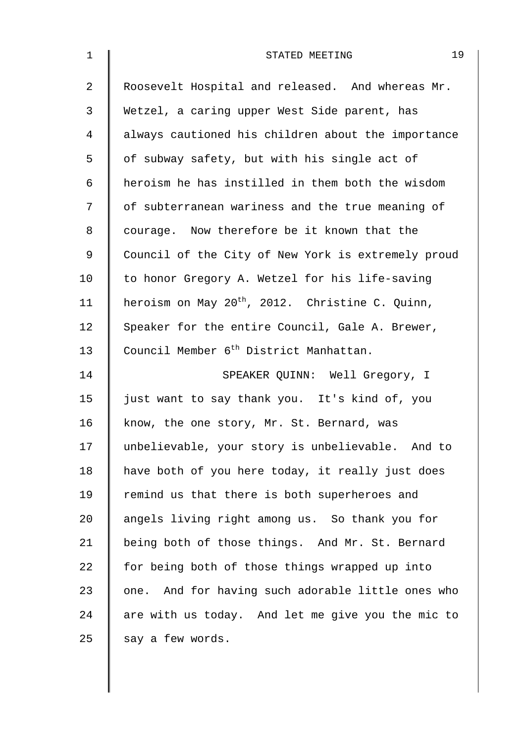| $\mathbf 1$ | 19<br>STATED MEETING                                        |
|-------------|-------------------------------------------------------------|
| 2           | Roosevelt Hospital and released. And whereas Mr.            |
| 3           | Wetzel, a caring upper West Side parent, has                |
| 4           | always cautioned his children about the importance          |
| 5           | of subway safety, but with his single act of                |
| 6           | heroism he has instilled in them both the wisdom            |
| 7           | of subterranean wariness and the true meaning of            |
| 8           | courage. Now therefore be it known that the                 |
| $\mathsf 9$ | Council of the City of New York is extremely proud          |
| 10          | to honor Gregory A. Wetzel for his life-saving              |
| 11          | heroism on May 20 <sup>th</sup> , 2012. Christine C. Quinn, |
| 12          | Speaker for the entire Council, Gale A. Brewer,             |
| 13          | Council Member 6 <sup>th</sup> District Manhattan.          |
| 14          | SPEAKER QUINN: Well Gregory, I                              |
| 15          | just want to say thank you. It's kind of, you               |
| 16          | know, the one story, Mr. St. Bernard, was                   |
| 17          | unbelievable, your story is unbelievable. And to            |
| 18          | have both of you here today, it really just does            |
| 19          | remind us that there is both superheroes and                |
| 20          | angels living right among us. So thank you for              |
| 21          | being both of those things. And Mr. St. Bernard             |
| 22          | for being both of those things wrapped up into              |
| 23          | one. And for having such adorable little ones who           |
| 24          | are with us today. And let me give you the mic to           |
| 25          | say a few words.                                            |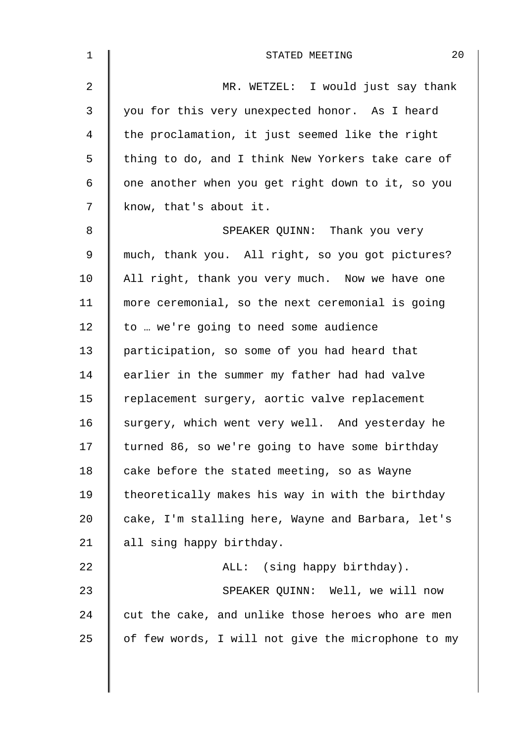| $\mathbf 1$ | 20<br>STATED MEETING                               |
|-------------|----------------------------------------------------|
| 2           | MR. WETZEL: I would just say thank                 |
| 3           | you for this very unexpected honor. As I heard     |
| 4           | the proclamation, it just seemed like the right    |
| 5           | thing to do, and I think New Yorkers take care of  |
| 6           | one another when you get right down to it, so you  |
| 7           | know, that's about it.                             |
| 8           | SPEAKER QUINN: Thank you very                      |
| 9           | much, thank you. All right, so you got pictures?   |
| 10          | All right, thank you very much. Now we have one    |
| 11          | more ceremonial, so the next ceremonial is going   |
| 12          | to  we're going to need some audience              |
| 13          | participation, so some of you had heard that       |
| 14          | earlier in the summer my father had had valve      |
| 15          | replacement surgery, aortic valve replacement      |
| 16          | surgery, which went very well. And yesterday he    |
| 17          | turned 86, so we're going to have some birthday    |
| 18          | cake before the stated meeting, so as Wayne        |
| 19          | theoretically makes his way in with the birthday   |
| 20          | cake, I'm stalling here, Wayne and Barbara, let's  |
| 21          | all sing happy birthday.                           |
| 22          | ALL: (sing happy birthday).                        |
| 23          | SPEAKER QUINN: Well, we will now                   |
| 24          | cut the cake, and unlike those heroes who are men  |
| 25          | of few words, I will not give the microphone to my |
|             |                                                    |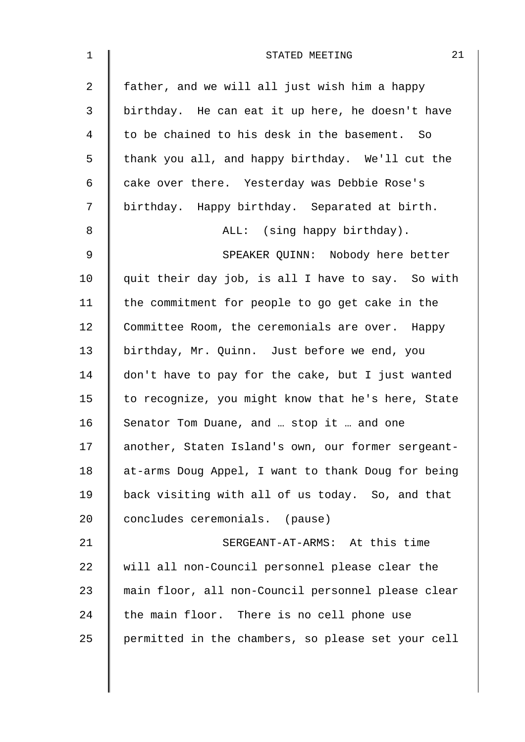| $\mathbf{1}$   | 21<br>STATED MEETING                               |
|----------------|----------------------------------------------------|
| $\overline{a}$ | father, and we will all just wish him a happy      |
| $\mathfrak{Z}$ | birthday. He can eat it up here, he doesn't have   |
| 4              | to be chained to his desk in the basement. So      |
| 5              | thank you all, and happy birthday. We'll cut the   |
| 6              | cake over there. Yesterday was Debbie Rose's       |
| 7              | birthday. Happy birthday. Separated at birth.      |
| 8              | ALL: (sing happy birthday).                        |
| 9              | SPEAKER QUINN: Nobody here better                  |
| 10             | quit their day job, is all I have to say. So with  |
| 11             | the commitment for people to go get cake in the    |
| 12             | Committee Room, the ceremonials are over. Happy    |
| 13             | birthday, Mr. Quinn. Just before we end, you       |
| 14             | don't have to pay for the cake, but I just wanted  |
| 15             | to recognize, you might know that he's here, State |
| 16             | Senator Tom Duane, and  stop it  and one           |
| 17             | another, Staten Island's own, our former sergeant- |
| 18             | at-arms Doug Appel, I want to thank Doug for being |
| 19             | back visiting with all of us today. So, and that   |
| 20             | concludes ceremonials. (pause)                     |
| 21             | SERGEANT-AT-ARMS: At this time                     |
| 22             | will all non-Council personnel please clear the    |
| 23             | main floor, all non-Council personnel please clear |
| 24             | the main floor. There is no cell phone use         |
| 25             | permitted in the chambers, so please set your cell |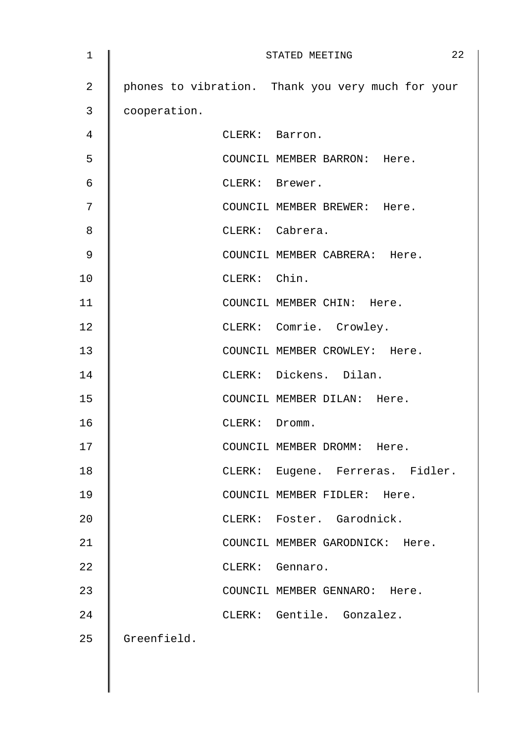| 1  | STATED MEETING                                    | 22 |
|----|---------------------------------------------------|----|
| 2  | phones to vibration. Thank you very much for your |    |
| 3  | cooperation.                                      |    |
| 4  | CLERK: Barron.                                    |    |
| 5  | COUNCIL MEMBER BARRON: Here.                      |    |
| 6  | CLERK: Brewer.                                    |    |
| 7  | COUNCIL MEMBER BREWER: Here.                      |    |
| 8  | CLERK: Cabrera.                                   |    |
| 9  | COUNCIL MEMBER CABRERA: Here.                     |    |
| 10 | CLERK: Chin.                                      |    |
| 11 | COUNCIL MEMBER CHIN: Here.                        |    |
| 12 | CLERK: Comrie. Crowley.                           |    |
| 13 | COUNCIL MEMBER CROWLEY: Here.                     |    |
| 14 | CLERK: Dickens. Dilan.                            |    |
| 15 | COUNCIL MEMBER DILAN: Here.                       |    |
| 16 | CLERK: Dromm.                                     |    |
| 17 | COUNCIL MEMBER DROMM: Here.                       |    |
| 18 | CLERK: Eugene. Ferreras. Fidler.                  |    |
| 19 | COUNCIL MEMBER FIDLER: Here.                      |    |
| 20 | CLERK: Foster. Garodnick.                         |    |
| 21 | COUNCIL MEMBER GARODNICK: Here.                   |    |
| 22 | CLERK: Gennaro.                                   |    |
| 23 | COUNCIL MEMBER GENNARO: Here.                     |    |
| 24 | CLERK: Gentile. Gonzalez.                         |    |
| 25 | Greenfield.                                       |    |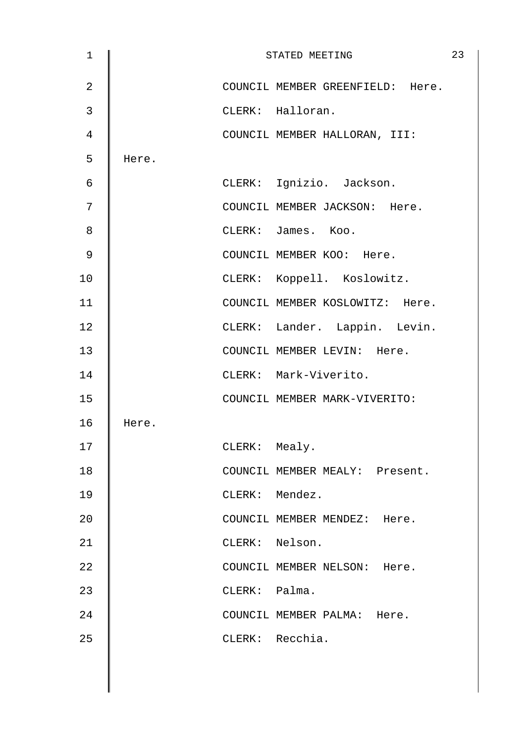| $\mathbf 1$    |       |               | STATED MEETING                   | 23 |
|----------------|-------|---------------|----------------------------------|----|
| $\overline{a}$ |       |               | COUNCIL MEMBER GREENFIELD: Here. |    |
| 3              |       |               | CLERK: Halloran.                 |    |
| $\overline{4}$ |       |               | COUNCIL MEMBER HALLORAN, III:    |    |
| 5              | Here. |               |                                  |    |
| 6              |       |               | CLERK: Ignizio. Jackson.         |    |
| 7              |       |               | COUNCIL MEMBER JACKSON: Here.    |    |
| 8              |       |               | CLERK: James. Koo.               |    |
| 9              |       |               | COUNCIL MEMBER KOO: Here.        |    |
| 10             |       |               | CLERK: Koppell. Koslowitz.       |    |
| 11             |       |               | COUNCIL MEMBER KOSLOWITZ: Here.  |    |
| 12             |       |               | CLERK: Lander. Lappin. Levin.    |    |
| 13             |       |               | COUNCIL MEMBER LEVIN: Here.      |    |
| 14             |       |               | CLERK: Mark-Viverito.            |    |
| 15             |       |               | COUNCIL MEMBER MARK-VIVERITO:    |    |
| 16             | Here. |               |                                  |    |
| 17             |       | CLERK: Mealy. |                                  |    |
| 18             |       |               | COUNCIL MEMBER MEALY: Present.   |    |
| 19             |       |               | CLERK: Mendez.                   |    |
| 20             |       |               | COUNCIL MEMBER MENDEZ: Here.     |    |
| 21             |       |               | CLERK: Nelson.                   |    |
| 22             |       |               | COUNCIL MEMBER NELSON: Here.     |    |
| 23             |       | CLERK: Palma. |                                  |    |
| 24             |       |               | COUNCIL MEMBER PALMA: Here.      |    |
| 25             |       |               | CLERK: Recchia.                  |    |
|                |       |               |                                  |    |
|                |       |               |                                  |    |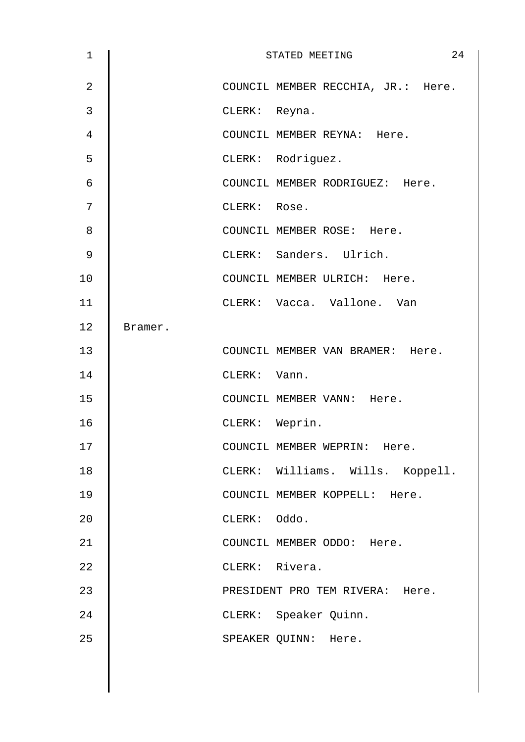| $\mathbf 1$    |         | 24<br>STATED MEETING               |
|----------------|---------|------------------------------------|
| $\overline{2}$ |         | COUNCIL MEMBER RECCHIA, JR.: Here. |
| $\mathbf{3}$   |         | CLERK: Reyna.                      |
| $\overline{4}$ |         | COUNCIL MEMBER REYNA: Here.        |
| 5              |         | CLERK: Rodriguez.                  |
| 6              |         | COUNCIL MEMBER RODRIGUEZ: Here.    |
| 7              |         | CLERK: Rose.                       |
| 8              |         | COUNCIL MEMBER ROSE: Here.         |
| 9              |         | CLERK: Sanders. Ulrich.            |
| 10             |         | COUNCIL MEMBER ULRICH: Here.       |
| 11             |         | CLERK: Vacca. Vallone. Van         |
| 12             | Bramer. |                                    |
| 13             |         | COUNCIL MEMBER VAN BRAMER: Here.   |
| 14             |         | CLERK: Vann.                       |
| 15             |         | COUNCIL MEMBER VANN: Here.         |
| 16             |         | CLERK: Weprin.                     |
| 17             |         | COUNCIL MEMBER WEPRIN: Here.       |
| 18             |         | CLERK: Williams. Wills. Koppell.   |
| 19             |         | COUNCIL MEMBER KOPPELL: Here.      |
| 20             |         | CLERK: Oddo.                       |
| 21             |         | COUNCIL MEMBER ODDO: Here.         |
| 22             |         | CLERK: Rivera.                     |
| 23             |         | PRESIDENT PRO TEM RIVERA: Here.    |
| 24             |         | CLERK: Speaker Quinn.              |
| 25             |         | SPEAKER QUINN: Here.               |
|                |         |                                    |
|                |         |                                    |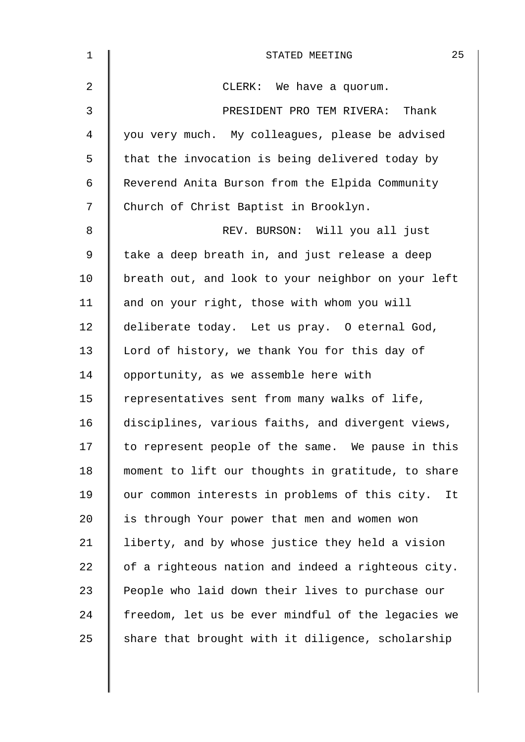| $\mathbf 1$ | 25<br>STATED MEETING                               |
|-------------|----------------------------------------------------|
| 2           | CLERK: We have a quorum.                           |
| 3           | PRESIDENT PRO TEM RIVERA: Thank                    |
| 4           | you very much. My colleagues, please be advised    |
| 5           | that the invocation is being delivered today by    |
| 6           | Reverend Anita Burson from the Elpida Community    |
| 7           | Church of Christ Baptist in Brooklyn.              |
| 8           | REV. BURSON: Will you all just                     |
| 9           | take a deep breath in, and just release a deep     |
| 10          | breath out, and look to your neighbor on your left |
| 11          | and on your right, those with whom you will        |
| 12          | deliberate today. Let us pray. O eternal God,      |
| 13          | Lord of history, we thank You for this day of      |
| 14          | opportunity, as we assemble here with              |
| 15          | representatives sent from many walks of life,      |
| 16          | disciplines, various faiths, and divergent views,  |
| 17          | to represent people of the same. We pause in this  |
| 18          | moment to lift our thoughts in gratitude, to share |
| 19          | our common interests in problems of this city. It  |
| 20          | is through Your power that men and women won       |
| 21          | liberty, and by whose justice they held a vision   |
| 22          | of a righteous nation and indeed a righteous city. |
| 23          | People who laid down their lives to purchase our   |
| 24          | freedom, let us be ever mindful of the legacies we |
| 25          | share that brought with it diligence, scholarship  |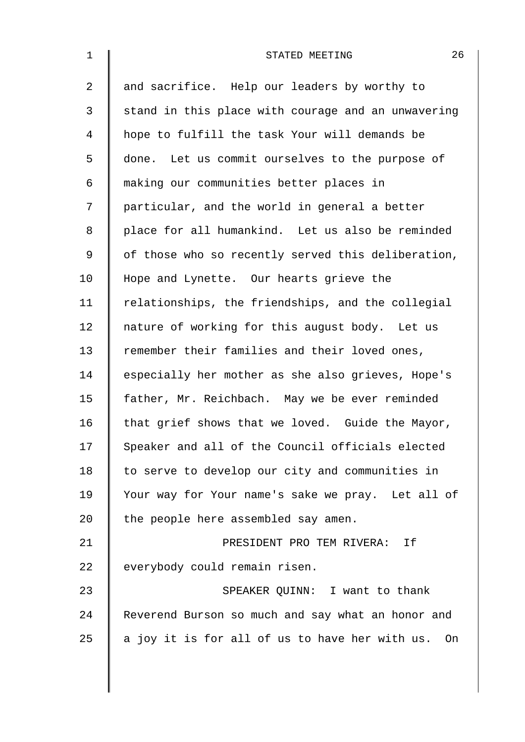| $\mathbf{1}$ | 26<br>STATED MEETING                               |
|--------------|----------------------------------------------------|
| 2            | and sacrifice. Help our leaders by worthy to       |
| 3            | stand in this place with courage and an unwavering |
| 4            | hope to fulfill the task Your will demands be      |
| 5            | done. Let us commit ourselves to the purpose of    |
| 6            | making our communities better places in            |
| 7            | particular, and the world in general a better      |
| 8            | place for all humankind. Let us also be reminded   |
| 9            | of those who so recently served this deliberation, |
| 10           | Hope and Lynette. Our hearts grieve the            |
| 11           | relationships, the friendships, and the collegial  |
| 12           | nature of working for this august body. Let us     |
| 13           | remember their families and their loved ones,      |
| 14           | especially her mother as she also grieves, Hope's  |
| 15           | father, Mr. Reichbach. May we be ever reminded     |
| 16           | that grief shows that we loved. Guide the Mayor,   |
| 17           | Speaker and all of the Council officials elected   |
| 18           | to serve to develop our city and communities in    |
| 19           | Your way for Your name's sake we pray. Let all of  |
| 20           | the people here assembled say amen.                |
| 21           | PRESIDENT PRO TEM RIVERA: If                       |
| 22           | everybody could remain risen.                      |
| 23           | SPEAKER QUINN: I want to thank                     |
| 24           | Reverend Burson so much and say what an honor and  |
| 25           | a joy it is for all of us to have her with us. On  |
|              |                                                    |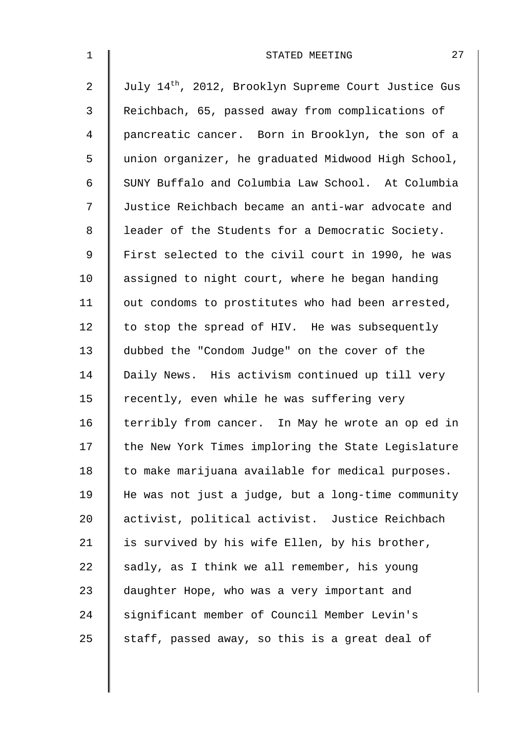| $\mathbf 1$ | 27<br>STATED MEETING                                             |
|-------------|------------------------------------------------------------------|
| 2           | July 14 <sup>th</sup> , 2012, Brooklyn Supreme Court Justice Gus |
| 3           | Reichbach, 65, passed away from complications of                 |
| 4           | pancreatic cancer. Born in Brooklyn, the son of a                |
| 5           | union organizer, he graduated Midwood High School,               |
| 6           | SUNY Buffalo and Columbia Law School. At Columbia                |
| 7           | Justice Reichbach became an anti-war advocate and                |
| 8           | leader of the Students for a Democratic Society.                 |
| 9           | First selected to the civil court in 1990, he was                |
| 10          | assigned to night court, where he began handing                  |
| 11          | out condoms to prostitutes who had been arrested,                |
| 12          | to stop the spread of HIV. He was subsequently                   |
| 13          | dubbed the "Condom Judge" on the cover of the                    |
| 14          | Daily News. His activism continued up till very                  |
| 15          | recently, even while he was suffering very                       |
| 16          | terribly from cancer. In May he wrote an op ed in                |
| 17          | the New York Times imploring the State Legislature               |
| 18          | to make marijuana available for medical purposes.                |
| 19          | He was not just a judge, but a long-time community               |
| 20          | activist, political activist. Justice Reichbach                  |
| 21          | is survived by his wife Ellen, by his brother,                   |
| 22          | sadly, as I think we all remember, his young                     |
| 23          | daughter Hope, who was a very important and                      |
| 24          | significant member of Council Member Levin's                     |
| 25          | staff, passed away, so this is a great deal of                   |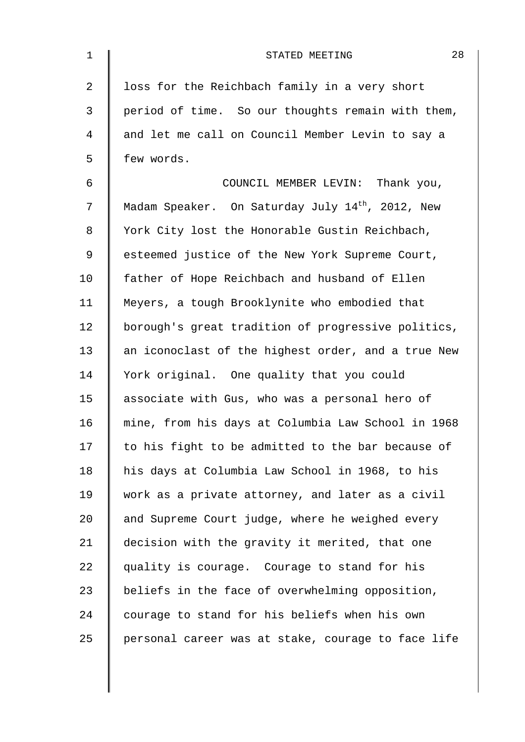| $\mathbf 1$    | 28<br>STATED MEETING                                         |
|----------------|--------------------------------------------------------------|
| $\overline{2}$ | loss for the Reichbach family in a very short                |
| 3              | period of time. So our thoughts remain with them,            |
| $\overline{4}$ | and let me call on Council Member Levin to say a             |
| 5              | few words.                                                   |
| 6              | COUNCIL MEMBER LEVIN: Thank you,                             |
| 7              | Madam Speaker. On Saturday July 14 <sup>th</sup> , 2012, New |
| $\,8\,$        | York City lost the Honorable Gustin Reichbach,               |
| $\mathsf 9$    | esteemed justice of the New York Supreme Court,              |
| 10             | father of Hope Reichbach and husband of Ellen                |
| 11             | Meyers, a tough Brooklynite who embodied that                |
| 12             | borough's great tradition of progressive politics,           |
| 13             | an iconoclast of the highest order, and a true New           |
| 14             | York original. One quality that you could                    |
| 15             | associate with Gus, who was a personal hero of               |
| 16             | mine, from his days at Columbia Law School in 1968           |
| 17             | to his fight to be admitted to the bar because of            |
| 18             | his days at Columbia Law School in 1968, to his              |
| 19             | work as a private attorney, and later as a civil             |
| 20             | and Supreme Court judge, where he weighed every              |
| 21             | decision with the gravity it merited, that one               |
| 22             | quality is courage. Courage to stand for his                 |
| 23             | beliefs in the face of overwhelming opposition,              |
| 24             | courage to stand for his beliefs when his own                |
| 25             | personal career was at stake, courage to face life           |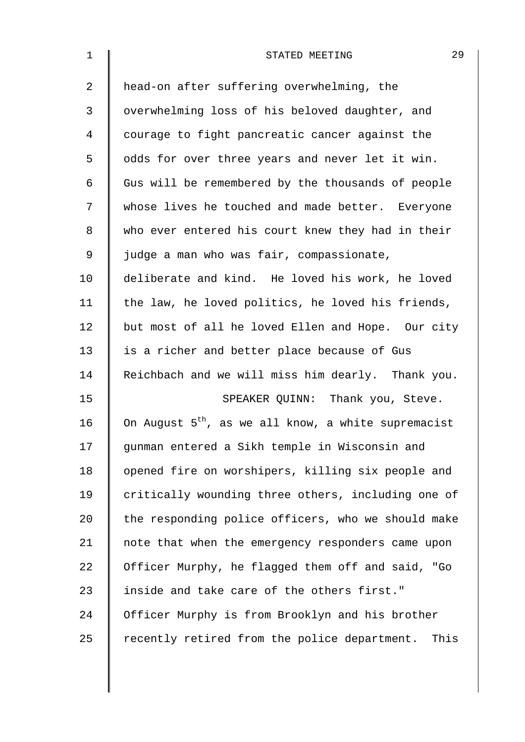| $\mathbf{1}$ | 29<br>STATED MEETING                                            |
|--------------|-----------------------------------------------------------------|
| 2            | head-on after suffering overwhelming, the                       |
| 3            | overwhelming loss of his beloved daughter, and                  |
| 4            | courage to fight pancreatic cancer against the                  |
| 5            | odds for over three years and never let it win.                 |
| 6            | Gus will be remembered by the thousands of people               |
| 7            | whose lives he touched and made better. Everyone                |
| 8            | who ever entered his court knew they had in their               |
| 9            | judge a man who was fair, compassionate,                        |
| 10           | deliberate and kind. He loved his work, he loved                |
| 11           | the law, he loved politics, he loved his friends,               |
| 12           | but most of all he loved Ellen and Hope. Our city               |
| 13           | is a richer and better place because of Gus                     |
| 14           | Reichbach and we will miss him dearly. Thank you.               |
| 15           | SPEAKER QUINN: Thank you, Steve.                                |
| 16           | On August 5 <sup>th</sup> , as we all know, a white supremacist |
| 17           | gunman entered a Sikh temple in Wisconsin and                   |
| 18           | opened fire on worshipers, killing six people and               |
| 19           | critically wounding three others, including one of              |
| 20           | the responding police officers, who we should make              |
| 21           | note that when the emergency responders came upon               |
| 22           | Officer Murphy, he flagged them off and said, "Go               |
| 23           | inside and take care of the others first."                      |
| 24           | Officer Murphy is from Brooklyn and his brother                 |
| 25           | recently retired from the police department. This               |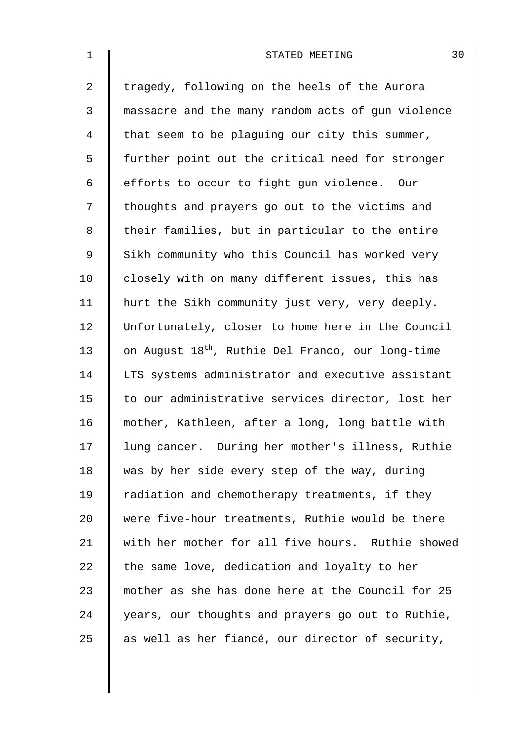| $\mathbf 1$    | 30<br>STATED MEETING                                          |
|----------------|---------------------------------------------------------------|
| $\overline{a}$ | tragedy, following on the heels of the Aurora                 |
| 3              | massacre and the many random acts of gun violence             |
| 4              | that seem to be plaguing our city this summer,                |
| 5              | further point out the critical need for stronger              |
| 6              | efforts to occur to fight gun violence. Our                   |
| 7              | thoughts and prayers go out to the victims and                |
| 8              | their families, but in particular to the entire               |
| $\mathsf 9$    | Sikh community who this Council has worked very               |
| 10             | closely with on many different issues, this has               |
| 11             | hurt the Sikh community just very, very deeply.               |
| 12             | Unfortunately, closer to home here in the Council             |
| 13             | on August 18 <sup>th</sup> , Ruthie Del Franco, our long-time |
| 14             | LTS systems administrator and executive assistant             |
| 15             | to our administrative services director, lost her             |
| 16             | mother, Kathleen, after a long, long battle with              |
| 17             | lung cancer. During her mother's illness, Ruthie              |
| 18             | was by her side every step of the way, during                 |
| 19             | radiation and chemotherapy treatments, if they                |
| 20             | were five-hour treatments, Ruthie would be there              |
| 21             | with her mother for all five hours. Ruthie showed             |
| 22             | the same love, dedication and loyalty to her                  |
| 23             | mother as she has done here at the Council for 25             |
| 24             | years, our thoughts and prayers go out to Ruthie,             |
| 25             | as well as her fiancé, our director of security,              |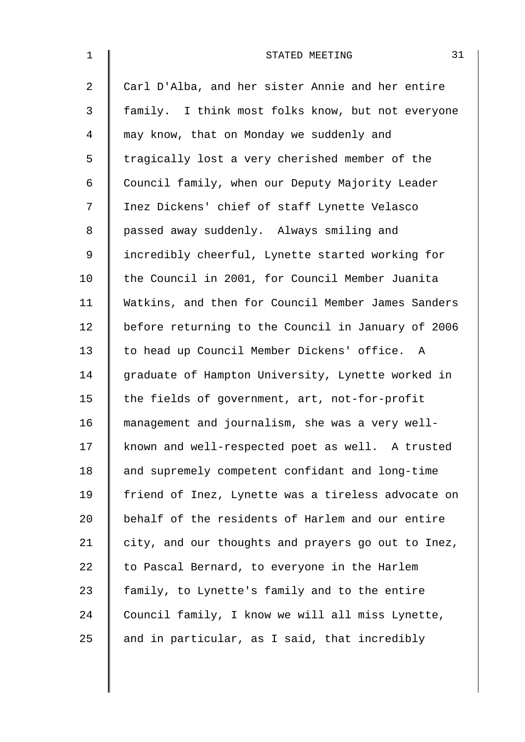| $\mathbf{1}$   | 31<br>STATED MEETING                               |
|----------------|----------------------------------------------------|
| $\overline{2}$ | Carl D'Alba, and her sister Annie and her entire   |
| 3              | family. I think most folks know, but not everyone  |
| 4              | may know, that on Monday we suddenly and           |
| 5              | tragically lost a very cherished member of the     |
| 6              | Council family, when our Deputy Majority Leader    |
| 7              | Inez Dickens' chief of staff Lynette Velasco       |
| 8              | passed away suddenly. Always smiling and           |
| 9              | incredibly cheerful, Lynette started working for   |
| 10             | the Council in 2001, for Council Member Juanita    |
| 11             | Watkins, and then for Council Member James Sanders |
| 12             | before returning to the Council in January of 2006 |
| 13             | to head up Council Member Dickens' office. A       |
| 14             | graduate of Hampton University, Lynette worked in  |
| 15             | the fields of government, art, not-for-profit      |
| 16             | management and journalism, she was a very well-    |
| 17             | known and well-respected poet as well. A trusted   |
| 18             | and supremely competent confidant and long-time    |
| 19             | friend of Inez, Lynette was a tireless advocate on |
| 20             | behalf of the residents of Harlem and our entire   |
| 21             | city, and our thoughts and prayers go out to Inez, |
| 22             | to Pascal Bernard, to everyone in the Harlem       |
| 23             | family, to Lynette's family and to the entire      |
| 24             | Council family, I know we will all miss Lynette,   |
| 25             | and in particular, as I said, that incredibly      |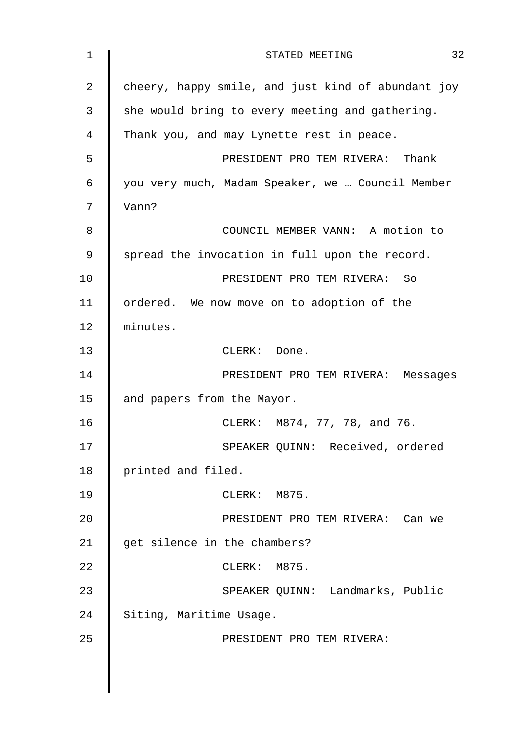| $\mathbf 1$ | 32<br>STATED MEETING                               |
|-------------|----------------------------------------------------|
| 2           | cheery, happy smile, and just kind of abundant joy |
| 3           | she would bring to every meeting and gathering.    |
| 4           | Thank you, and may Lynette rest in peace.          |
| 5           | PRESIDENT PRO TEM RIVERA: Thank                    |
| 6           | you very much, Madam Speaker, we  Council Member   |
| 7           | Vann?                                              |
| 8           | COUNCIL MEMBER VANN: A motion to                   |
| 9           | spread the invocation in full upon the record.     |
| 10          | PRESIDENT PRO TEM RIVERA: So                       |
| 11          | ordered. We now move on to adoption of the         |
| 12          | minutes.                                           |
| 13          | CLERK: Done.                                       |
| 14          | PRESIDENT PRO TEM RIVERA: Messages                 |
| 15          | and papers from the Mayor.                         |
| 16          | CLERK: M874, 77, 78, and 76.                       |
| 17          | SPEAKER QUINN: Received, ordered                   |
| 18          | printed and filed.                                 |
| 19          | CLERK: M875.                                       |
| 20          | PRESIDENT PRO TEM RIVERA: Can we                   |
| 21          | get silence in the chambers?                       |
| 22          | CLERK: M875.                                       |
| 23          | SPEAKER QUINN: Landmarks, Public                   |
| 24          | Siting, Maritime Usage.                            |
| 25          | PRESIDENT PRO TEM RIVERA:                          |
|             |                                                    |
|             |                                                    |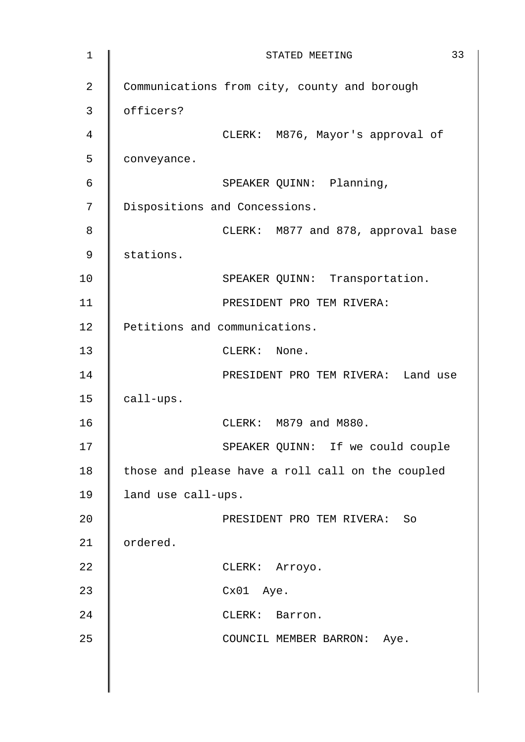| $\mathbf 1$    | 33<br>STATED MEETING                             |
|----------------|--------------------------------------------------|
| $\overline{2}$ | Communications from city, county and borough     |
| 3              | officers?                                        |
| 4              | CLERK: M876, Mayor's approval of                 |
| 5              | conveyance.                                      |
| 6              | SPEAKER QUINN: Planning,                         |
| 7              | Dispositions and Concessions.                    |
| 8              | CLERK: M877 and 878, approval base               |
| $\mathsf 9$    | stations.                                        |
| 10             | SPEAKER QUINN: Transportation.                   |
| 11             | PRESIDENT PRO TEM RIVERA:                        |
| 12             | Petitions and communications.                    |
| 13             | CLERK: None.                                     |
| 14             | PRESIDENT PRO TEM RIVERA: Land use               |
| 15             | call-ups.                                        |
| 16             | CLERK: M879 and M880.                            |
| 17             | SPEAKER QUINN: If we could couple                |
| 18             | those and please have a roll call on the coupled |
| 19             | land use call-ups.                               |
| 20             | PRESIDENT PRO TEM RIVERA: So                     |
| 21             | ordered.                                         |
| 22             | CLERK: Arroyo.                                   |
| 23             | Cx01 Aye.                                        |
| 24             | CLERK: Barron.                                   |
| 25             | COUNCIL MEMBER BARRON: Aye.                      |
|                |                                                  |
|                |                                                  |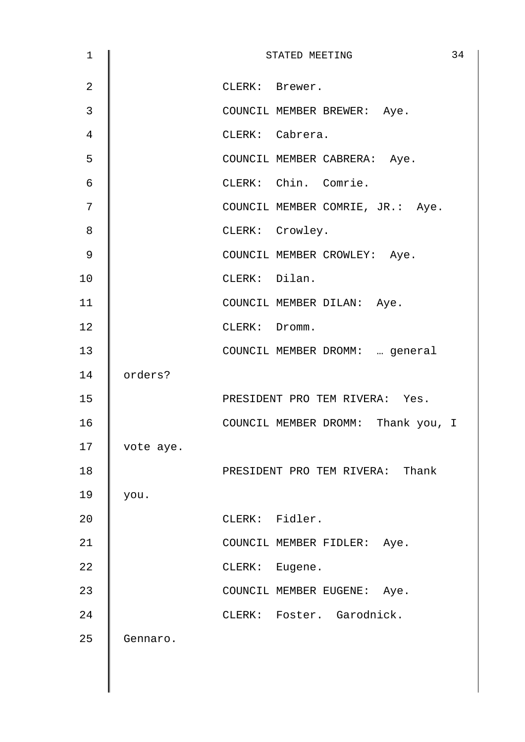| 1              |           | STATED MEETING                     | 34 |
|----------------|-----------|------------------------------------|----|
| $\overline{2}$ |           | CLERK: Brewer.                     |    |
| 3              |           | COUNCIL MEMBER BREWER: Aye.        |    |
| 4              |           | CLERK: Cabrera.                    |    |
| 5              |           | COUNCIL MEMBER CABRERA: Aye.       |    |
| $\epsilon$     |           | CLERK: Chin. Comrie.               |    |
| 7              |           | COUNCIL MEMBER COMRIE, JR.: Aye.   |    |
| 8              |           | CLERK: Crowley.                    |    |
| 9              |           | COUNCIL MEMBER CROWLEY: Aye.       |    |
| 10             |           | CLERK: Dilan.                      |    |
| 11             |           | COUNCIL MEMBER DILAN: Aye.         |    |
| 12             |           | CLERK: Dromm.                      |    |
| 13             |           | COUNCIL MEMBER DROMM:  general     |    |
| 14             | orders?   |                                    |    |
| 15             |           | PRESIDENT PRO TEM RIVERA: Yes.     |    |
| 16             |           | COUNCIL MEMBER DROMM: Thank you, I |    |
| 17             | vote aye. |                                    |    |
| 18             |           | PRESIDENT PRO TEM RIVERA: Thank    |    |
| 19             | you.      |                                    |    |
| 20             |           | CLERK: Fidler.                     |    |
| 21             |           | COUNCIL MEMBER FIDLER: Aye.        |    |
| 22             |           | CLERK: Eugene.                     |    |
| 23             |           | COUNCIL MEMBER EUGENE: Aye.        |    |
| 24             |           | CLERK: Foster. Garodnick.          |    |
| 25             | Gennaro.  |                                    |    |
|                |           |                                    |    |
|                |           |                                    |    |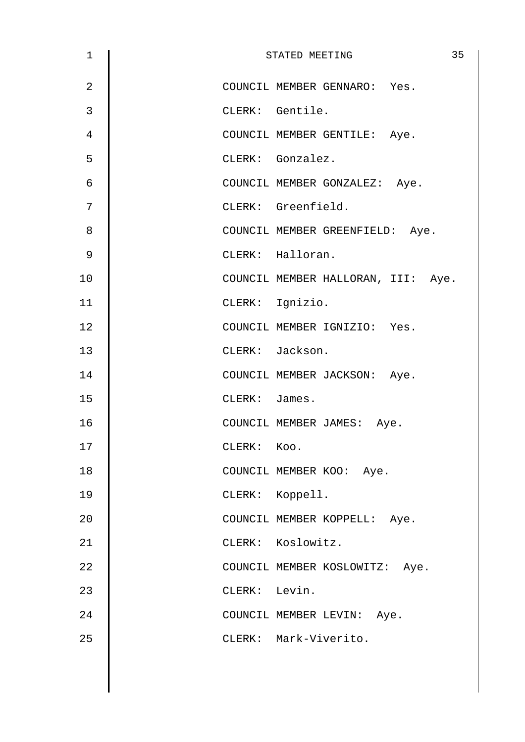| 1              |               | 35<br>STATED MEETING               |
|----------------|---------------|------------------------------------|
| $\overline{2}$ |               | COUNCIL MEMBER GENNARO: Yes.       |
| 3              |               | CLERK: Gentile.                    |
| 4              |               | COUNCIL MEMBER GENTILE: Aye.       |
| 5              |               | CLERK: Gonzalez.                   |
| 6              |               | COUNCIL MEMBER GONZALEZ: Aye.      |
| 7              |               | CLERK: Greenfield.                 |
| 8              |               | COUNCIL MEMBER GREENFIELD: Aye.    |
| 9              |               | CLERK: Halloran.                   |
| 10             |               | COUNCIL MEMBER HALLORAN, III: Aye. |
| 11             |               | CLERK: Ignizio.                    |
| 12             |               | COUNCIL MEMBER IGNIZIO: Yes.       |
| 13             |               | CLERK: Jackson.                    |
| 14             |               | COUNCIL MEMBER JACKSON: Aye.       |
| 15             | CLERK: James. |                                    |
| 16             |               | COUNCIL MEMBER JAMES: Aye.         |
| 17             | CLERK: Koo.   |                                    |
| 18             |               | COUNCIL MEMBER KOO: Aye.           |
| 19             |               | CLERK: Koppell.                    |
| 20             |               | COUNCIL MEMBER KOPPELL: Aye.       |
| 21             |               | CLERK: Koslowitz.                  |
| 22             |               | COUNCIL MEMBER KOSLOWITZ: Aye.     |
| 23             | CLERK: Levin. |                                    |
| 24             |               | COUNCIL MEMBER LEVIN: Aye.         |
| 25             |               | CLERK: Mark-Viverito.              |
|                |               |                                    |
|                |               |                                    |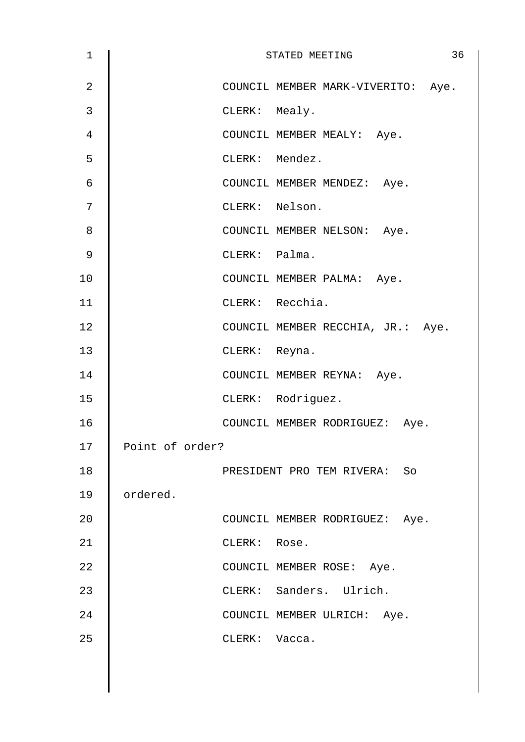| 1  |                 |                | 36<br>STATED MEETING               |
|----|-----------------|----------------|------------------------------------|
| 2  |                 |                | COUNCIL MEMBER MARK-VIVERITO: Aye. |
| 3  |                 | CLERK: Mealy.  |                                    |
| 4  |                 |                | COUNCIL MEMBER MEALY: Aye.         |
| 5  |                 | CLERK: Mendez. |                                    |
| 6  |                 |                | COUNCIL MEMBER MENDEZ: Aye.        |
| 7  |                 | CLERK: Nelson. |                                    |
| 8  |                 |                | COUNCIL MEMBER NELSON: Aye.        |
| 9  |                 | CLERK: Palma.  |                                    |
| 10 |                 |                | COUNCIL MEMBER PALMA: Aye.         |
| 11 |                 |                | CLERK: Recchia.                    |
| 12 |                 |                | COUNCIL MEMBER RECCHIA, JR.: Aye.  |
| 13 |                 | CLERK: Reyna.  |                                    |
| 14 |                 |                | COUNCIL MEMBER REYNA: Aye.         |
| 15 |                 |                | CLERK: Rodriguez.                  |
| 16 |                 |                | COUNCIL MEMBER RODRIGUEZ: Aye.     |
| 17 | Point of order? |                |                                    |
| 18 |                 |                | PRESIDENT PRO TEM RIVERA: So       |
| 19 | ordered.        |                |                                    |
| 20 |                 |                | COUNCIL MEMBER RODRIGUEZ: Aye.     |
| 21 |                 | CLERK: Rose.   |                                    |
| 22 |                 |                | COUNCIL MEMBER ROSE: Aye.          |
| 23 |                 |                | CLERK: Sanders. Ulrich.            |
| 24 |                 |                | COUNCIL MEMBER ULRICH: Aye.        |
| 25 |                 | CLERK: Vacca.  |                                    |
|    |                 |                |                                    |
|    |                 |                |                                    |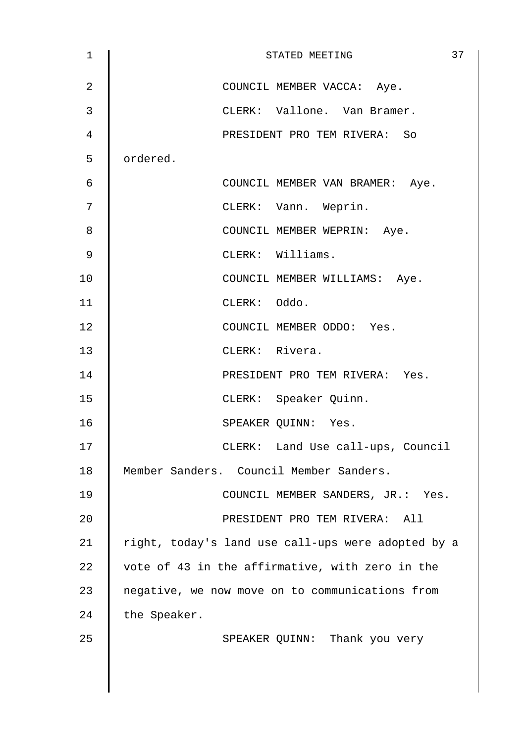| 1  | 37<br>STATED MEETING                               |
|----|----------------------------------------------------|
| 2  | COUNCIL MEMBER VACCA: Aye.                         |
| 3  | CLERK: Vallone. Van Bramer.                        |
| 4  | PRESIDENT PRO TEM RIVERA: So                       |
| 5  | ordered.                                           |
| 6  | COUNCIL MEMBER VAN BRAMER: Aye.                    |
| 7  | CLERK: Vann. Weprin.                               |
| 8  | COUNCIL MEMBER WEPRIN: Aye.                        |
| 9  | CLERK: Williams.                                   |
| 10 | COUNCIL MEMBER WILLIAMS: Aye.                      |
| 11 | CLERK: Oddo.                                       |
| 12 | COUNCIL MEMBER ODDO: Yes.                          |
| 13 | CLERK: Rivera.                                     |
| 14 | PRESIDENT PRO TEM RIVERA: Yes.                     |
| 15 | CLERK: Speaker Quinn.                              |
| 16 | SPEAKER QUINN: Yes.                                |
| 17 | CLERK: Land Use call-ups, Council                  |
| 18 | Member Sanders. Council Member Sanders.            |
| 19 | COUNCIL MEMBER SANDERS, JR.: Yes.                  |
| 20 | PRESIDENT PRO TEM RIVERA: All                      |
| 21 | right, today's land use call-ups were adopted by a |
| 22 | vote of 43 in the affirmative, with zero in the    |
| 23 | negative, we now move on to communications from    |
| 24 | the Speaker.                                       |
| 25 | SPEAKER QUINN: Thank you very                      |
|    |                                                    |
|    |                                                    |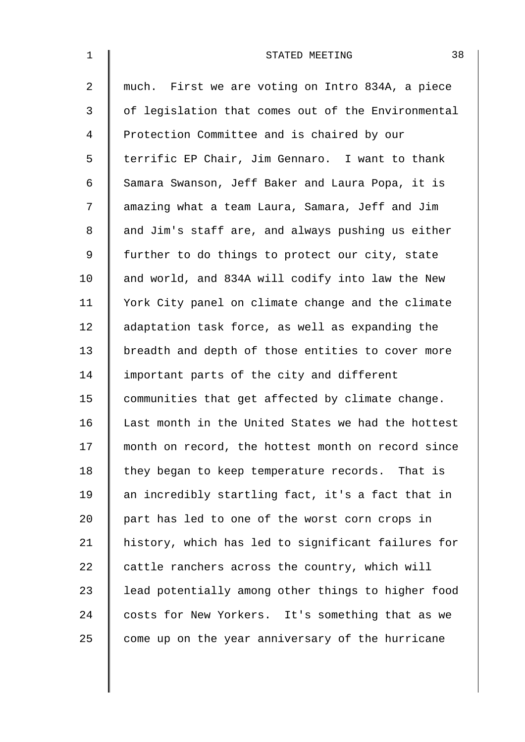| $\mathbf 1$    | 38<br>STATED MEETING                               |
|----------------|----------------------------------------------------|
| $\overline{2}$ | much. First we are voting on Intro 834A, a piece   |
| $\mathfrak{Z}$ | of legislation that comes out of the Environmental |
| 4              | Protection Committee and is chaired by our         |
| 5              | terrific EP Chair, Jim Gennaro. I want to thank    |
| 6              | Samara Swanson, Jeff Baker and Laura Popa, it is   |
| 7              | amazing what a team Laura, Samara, Jeff and Jim    |
| 8              | and Jim's staff are, and always pushing us either  |
| 9              | further to do things to protect our city, state    |
| 10             | and world, and 834A will codify into law the New   |
| 11             | York City panel on climate change and the climate  |
| 12             | adaptation task force, as well as expanding the    |
| 13             | breadth and depth of those entities to cover more  |
| 14             | important parts of the city and different          |
| 15             | communities that get affected by climate change.   |
| 16             | Last month in the United States we had the hottest |
| 17             | month on record, the hottest month on record since |
| 18             | they began to keep temperature records. That is    |
| 19             | an incredibly startling fact, it's a fact that in  |
| 20             | part has led to one of the worst corn crops in     |
| 21             | history, which has led to significant failures for |
| 22             | cattle ranchers across the country, which will     |
| 23             | lead potentially among other things to higher food |
| 24             | costs for New Yorkers. It's something that as we   |
| 25             | come up on the year anniversary of the hurricane   |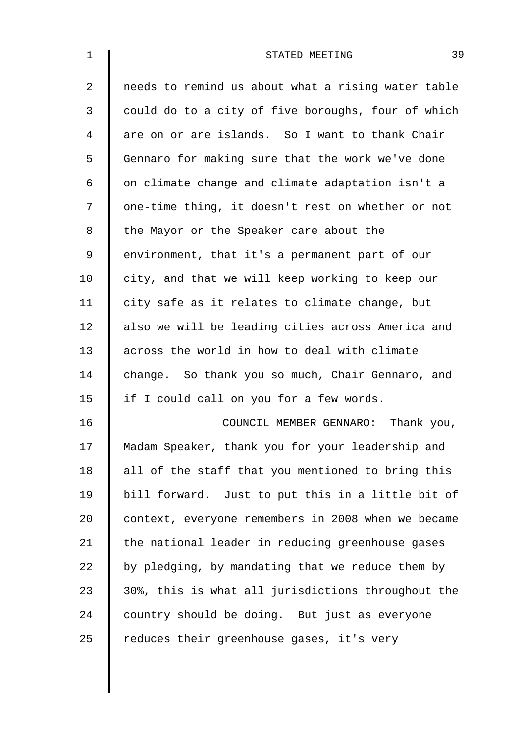| $\mathbf 1$    | 39<br>STATED MEETING                               |
|----------------|----------------------------------------------------|
| $\overline{2}$ | needs to remind us about what a rising water table |
| 3              | could do to a city of five boroughs, four of which |
| 4              | are on or are islands. So I want to thank Chair    |
| 5              | Gennaro for making sure that the work we've done   |
| 6              | on climate change and climate adaptation isn't a   |
| 7              | one-time thing, it doesn't rest on whether or not  |
| 8              | the Mayor or the Speaker care about the            |
| 9              | environment, that it's a permanent part of our     |
| 10             | city, and that we will keep working to keep our    |
| 11             | city safe as it relates to climate change, but     |
| 12             | also we will be leading cities across America and  |
| 13             | across the world in how to deal with climate       |
| 14             | change. So thank you so much, Chair Gennaro, and   |
| 15             | if I could call on you for a few words.            |
| 16             | COUNCIL MEMBER GENNARO: Thank you,                 |
| 17             | Madam Speaker, thank you for your leadership and   |
| 18             | all of the staff that you mentioned to bring this  |
| 19             | bill forward. Just to put this in a little bit of  |
| 20             | context, everyone remembers in 2008 when we became |
| 21             | the national leader in reducing greenhouse gases   |
| 22             | by pledging, by mandating that we reduce them by   |
| 23             | 30%, this is what all jurisdictions throughout the |
| 24             | country should be doing. But just as everyone      |
| 25             | reduces their greenhouse gases, it's very          |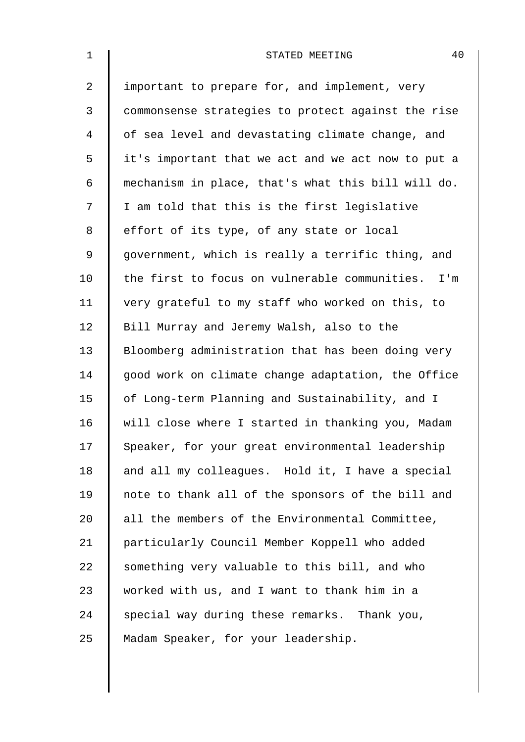| $\mathbf{1}$   | 40<br>STATED MEETING                               |
|----------------|----------------------------------------------------|
| $\overline{2}$ | important to prepare for, and implement, very      |
| 3              | commonsense strategies to protect against the rise |
| 4              | of sea level and devastating climate change, and   |
| 5              | it's important that we act and we act now to put a |
| 6              | mechanism in place, that's what this bill will do. |
| 7              | I am told that this is the first legislative       |
| 8              | effort of its type, of any state or local          |
| 9              | government, which is really a terrific thing, and  |
| 10             | the first to focus on vulnerable communities. I'm  |
| 11             | very grateful to my staff who worked on this, to   |
| 12             | Bill Murray and Jeremy Walsh, also to the          |
| 13             | Bloomberg administration that has been doing very  |
| 14             | good work on climate change adaptation, the Office |
| 15             | of Long-term Planning and Sustainability, and I    |
| 16             | will close where I started in thanking you, Madam  |
| 17             | Speaker, for your great environmental leadership   |
| 18             | and all my colleagues. Hold it, I have a special   |
| 19             | note to thank all of the sponsors of the bill and  |
| 20             | all the members of the Environmental Committee,    |
| 21             | particularly Council Member Koppell who added      |
| 22             | something very valuable to this bill, and who      |
| 23             | worked with us, and I want to thank him in a       |
| 24             | special way during these remarks. Thank you,       |
| 25             | Madam Speaker, for your leadership.                |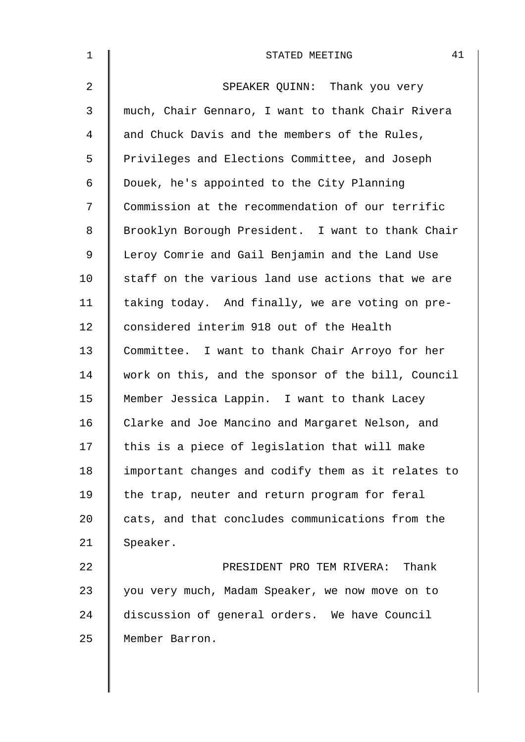| $\mathbf 1$ | 41<br>STATED MEETING                               |
|-------------|----------------------------------------------------|
| 2           | SPEAKER QUINN: Thank you very                      |
| 3           | much, Chair Gennaro, I want to thank Chair Rivera  |
| 4           | and Chuck Davis and the members of the Rules,      |
| 5           | Privileges and Elections Committee, and Joseph     |
| 6           | Douek, he's appointed to the City Planning         |
| 7           | Commission at the recommendation of our terrific   |
| 8           | Brooklyn Borough President. I want to thank Chair  |
| 9           | Leroy Comrie and Gail Benjamin and the Land Use    |
| 10          | staff on the various land use actions that we are  |
| 11          | taking today. And finally, we are voting on pre-   |
| 12          | considered interim 918 out of the Health           |
| 13          | Committee. I want to thank Chair Arroyo for her    |
| 14          | work on this, and the sponsor of the bill, Council |
| 15          | Member Jessica Lappin. I want to thank Lacey       |
| 16          | Clarke and Joe Mancino and Margaret Nelson, and    |
| 17          | this is a piece of legislation that will make      |
| 18          | important changes and codify them as it relates to |
| 19          | the trap, neuter and return program for feral      |
| 20          | cats, and that concludes communications from the   |
| 21          | Speaker.                                           |
| 22          | PRESIDENT PRO TEM RIVERA: Thank                    |
| 23          | you very much, Madam Speaker, we now move on to    |
| 24          | discussion of general orders. We have Council      |
| 25          | Member Barron.                                     |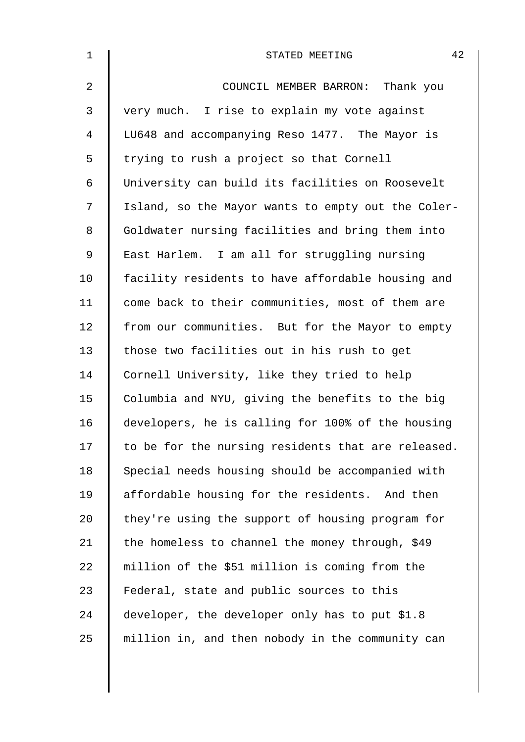| $\mathbf 1$    | 42<br>STATED MEETING                               |
|----------------|----------------------------------------------------|
| $\overline{a}$ | COUNCIL MEMBER BARRON: Thank you                   |
| 3              | very much. I rise to explain my vote against       |
| 4              | LU648 and accompanying Reso 1477. The Mayor is     |
| 5              | trying to rush a project so that Cornell           |
| 6              | University can build its facilities on Roosevelt   |
| 7              | Island, so the Mayor wants to empty out the Coler- |
| 8              | Goldwater nursing facilities and bring them into   |
| 9              | East Harlem. I am all for struggling nursing       |
| 10             | facility residents to have affordable housing and  |
| 11             | come back to their communities, most of them are   |
| 12             | from our communities. But for the Mayor to empty   |
| 13             | those two facilities out in his rush to get        |
| 14             | Cornell University, like they tried to help        |
| 15             | Columbia and NYU, giving the benefits to the big   |
| 16             | developers, he is calling for 100% of the housing  |
| 17             | to be for the nursing residents that are released. |
| 18             | Special needs housing should be accompanied with   |
| 19             | affordable housing for the residents. And then     |
| 20             | they're using the support of housing program for   |
| 21             | the homeless to channel the money through, \$49    |
| 22             | million of the \$51 million is coming from the     |
| 23             | Federal, state and public sources to this          |
| 24             | developer, the developer only has to put \$1.8     |
| 25             | million in, and then nobody in the community can   |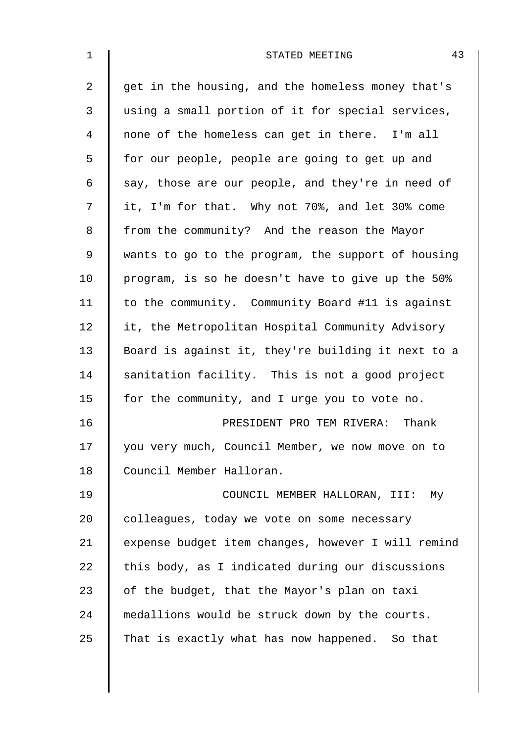| $\mathbf 1$    | 43<br>STATED MEETING                               |
|----------------|----------------------------------------------------|
| $\overline{2}$ | get in the housing, and the homeless money that's  |
| 3              | using a small portion of it for special services,  |
| 4              | none of the homeless can get in there. I'm all     |
| 5              | for our people, people are going to get up and     |
| 6              | say, those are our people, and they're in need of  |
| 7              | it, I'm for that. Why not 70%, and let 30% come    |
| 8              | from the community? And the reason the Mayor       |
| $\mathsf 9$    | wants to go to the program, the support of housing |
| 10             | program, is so he doesn't have to give up the 50%  |
| 11             | to the community. Community Board #11 is against   |
| 12             | it, the Metropolitan Hospital Community Advisory   |
| 13             | Board is against it, they're building it next to a |
| 14             | sanitation facility. This is not a good project    |
| 15             | for the community, and I urge you to vote no.      |
| 16             | PRESIDENT PRO TEM RIVERA: Thank                    |
| 17             | you very much, Council Member, we now move on to   |
| 18             | Council Member Halloran.                           |
| 19             | COUNCIL MEMBER HALLORAN, III:<br>Мy                |
| 20             | colleagues, today we vote on some necessary        |
| 21             | expense budget item changes, however I will remind |
| 22             | this body, as I indicated during our discussions   |
| 23             | of the budget, that the Mayor's plan on taxi       |
| 24             | medallions would be struck down by the courts.     |
| 25             | That is exactly what has now happened. So that     |
|                |                                                    |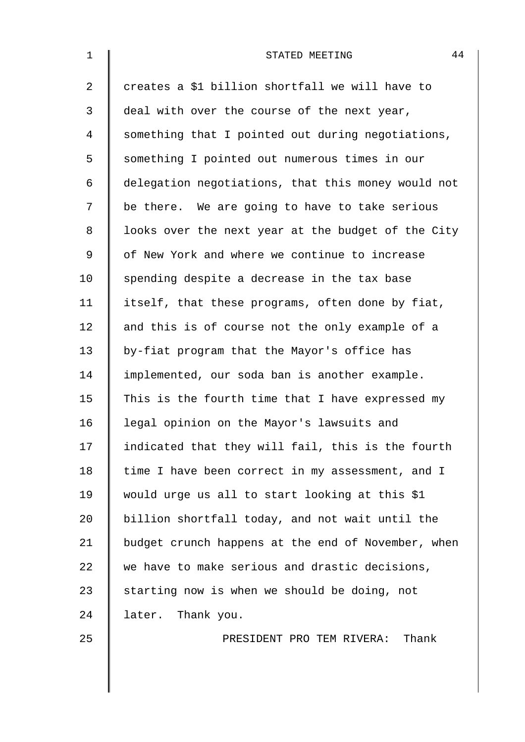| $\mathbf 1$    | 44<br>STATED MEETING                               |
|----------------|----------------------------------------------------|
| $\overline{2}$ | creates a \$1 billion shortfall we will have to    |
| 3              | deal with over the course of the next year,        |
| 4              | something that I pointed out during negotiations,  |
| 5              | something I pointed out numerous times in our      |
| 6              | delegation negotiations, that this money would not |
| 7              | be there. We are going to have to take serious     |
| 8              | looks over the next year at the budget of the City |
| 9              | of New York and where we continue to increase      |
| 10             | spending despite a decrease in the tax base        |
| 11             | itself, that these programs, often done by fiat,   |
| 12             | and this is of course not the only example of a    |
| 13             | by-fiat program that the Mayor's office has        |
| 14             | implemented, our soda ban is another example.      |
| 15             | This is the fourth time that I have expressed my   |
| 16             | legal opinion on the Mayor's lawsuits and          |
| 17             | indicated that they will fail, this is the fourth  |
| 18             | time I have been correct in my assessment, and I   |
| 19             | would urge us all to start looking at this \$1     |
| 20             | billion shortfall today, and not wait until the    |
| 21             | budget crunch happens at the end of November, when |
| 22             | we have to make serious and drastic decisions,     |
| 23             | starting now is when we should be doing, not       |
| 24             | later. Thank you.                                  |
| 25             | Thank<br>PRESIDENT PRO TEM RIVERA:                 |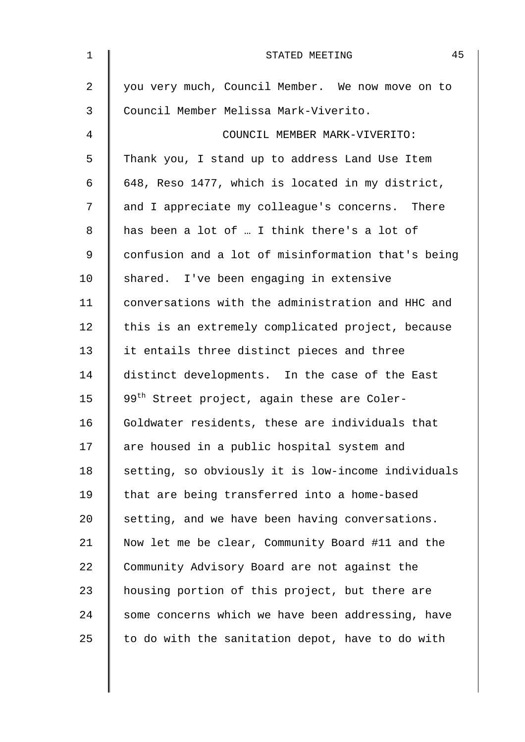| $\mathbf 1$ | 45<br>STATED MEETING                                    |
|-------------|---------------------------------------------------------|
| 2           | you very much, Council Member. We now move on to        |
| 3           | Council Member Melissa Mark-Viverito.                   |
| 4           | COUNCIL MEMBER MARK-VIVERITO:                           |
| 5           | Thank you, I stand up to address Land Use Item          |
| 6           | 648, Reso 1477, which is located in my district,        |
| 7           | and I appreciate my colleague's concerns. There         |
| 8           | has been a lot of  I think there's a lot of             |
| $\mathsf 9$ | confusion and a lot of misinformation that's being      |
| 10          | shared. I've been engaging in extensive                 |
| 11          | conversations with the administration and HHC and       |
| 12          | this is an extremely complicated project, because       |
| 13          | it entails three distinct pieces and three              |
| 14          | distinct developments. In the case of the East          |
| 15          | 99 <sup>th</sup> Street project, again these are Coler- |
| 16          | Goldwater residents, these are individuals that         |
| 17          | are housed in a public hospital system and              |
| 18          | setting, so obviously it is low-income individuals      |
| 19          | that are being transferred into a home-based            |
| 20          | setting, and we have been having conversations.         |
| 21          | Now let me be clear, Community Board #11 and the        |
| 22          | Community Advisory Board are not against the            |
| 23          | housing portion of this project, but there are          |
| 24          | some concerns which we have been addressing, have       |
| 25          | to do with the sanitation depot, have to do with        |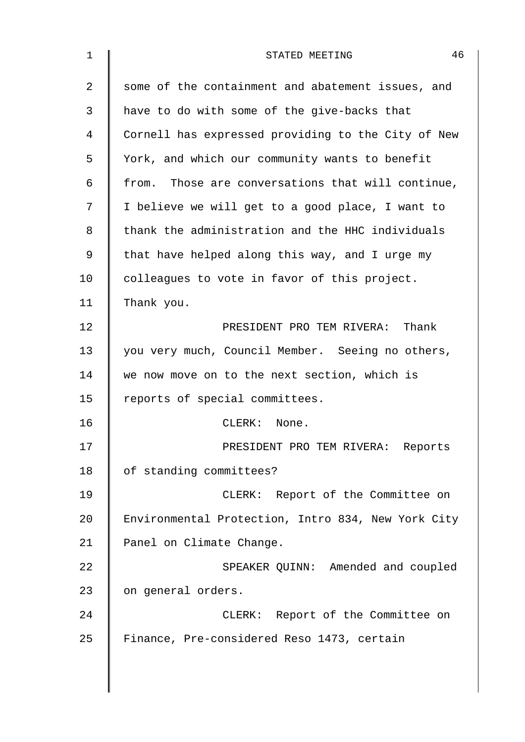| $\mathbf 1$ | 46<br>STATED MEETING                               |
|-------------|----------------------------------------------------|
| 2           | some of the containment and abatement issues, and  |
| 3           | have to do with some of the give-backs that        |
| 4           | Cornell has expressed providing to the City of New |
| 5           | York, and which our community wants to benefit     |
| 6           | from. Those are conversations that will continue,  |
| 7           | I believe we will get to a good place, I want to   |
| 8           | thank the administration and the HHC individuals   |
| 9           | that have helped along this way, and I urge my     |
| 10          | colleagues to vote in favor of this project.       |
| 11          | Thank you.                                         |
| 12          | PRESIDENT PRO TEM RIVERA: Thank                    |
| 13          | you very much, Council Member. Seeing no others,   |
| 14          | we now move on to the next section, which is       |
| 15          | reports of special committees.                     |
| 16          | CLERK:<br>None.                                    |
| 17          | PRESIDENT PRO TEM RIVERA: Reports                  |
| 18          | of standing committees?                            |
| 19          | CLERK: Report of the Committee on                  |
| 20          | Environmental Protection, Intro 834, New York City |
| 21          | Panel on Climate Change.                           |
| 22          | SPEAKER QUINN: Amended and coupled                 |
| 23          | on general orders.                                 |
| 24          | CLERK: Report of the Committee on                  |
| 25          | Finance, Pre-considered Reso 1473, certain         |
|             |                                                    |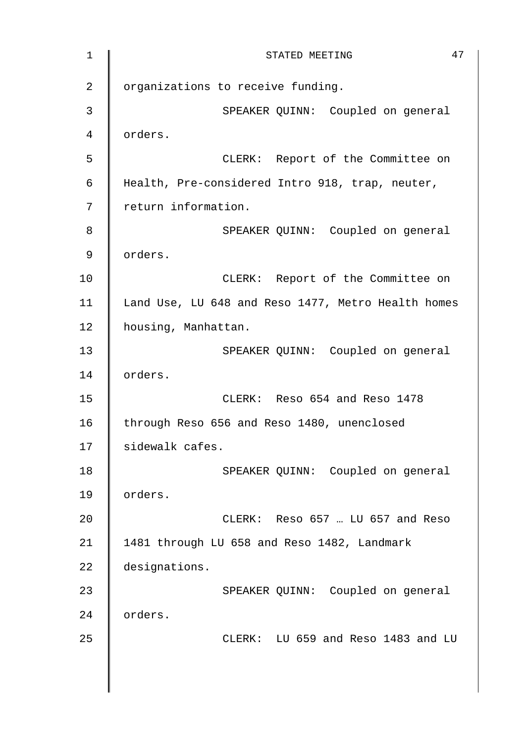1 || STATED MEETING 47 2 | organizations to receive funding. 3 || SPEAKER QUINN: Coupled on general 4 orders. 5 CLERK: Report of the Committee on 6 Health, Pre-considered Intro 918, trap, neuter, 7 | return information. 8 SPEAKER QUINN: Coupled on general 9 orders. 10 | CLERK: Report of the Committee on 11 | Land Use, LU 648 and Reso 1477, Metro Health homes 12 | housing, Manhattan. 13 | SPEAKER QUINN: Coupled on general 14 | orders. 15 CLERK: Reso 654 and Reso 1478 16 | through Reso 656 and Reso 1480, unenclosed 17 | sidewalk cafes. 18 | SPEAKER QUINN: Coupled on general 19 orders. 20 CLERK: Reso 657 … LU 657 and Reso 21 | 1481 through LU 658 and Reso 1482, Landmark 22 designations. 23 | SPEAKER QUINN: Coupled on general 24 | orders. 25 CLERK: LU 659 and Reso 1483 and LU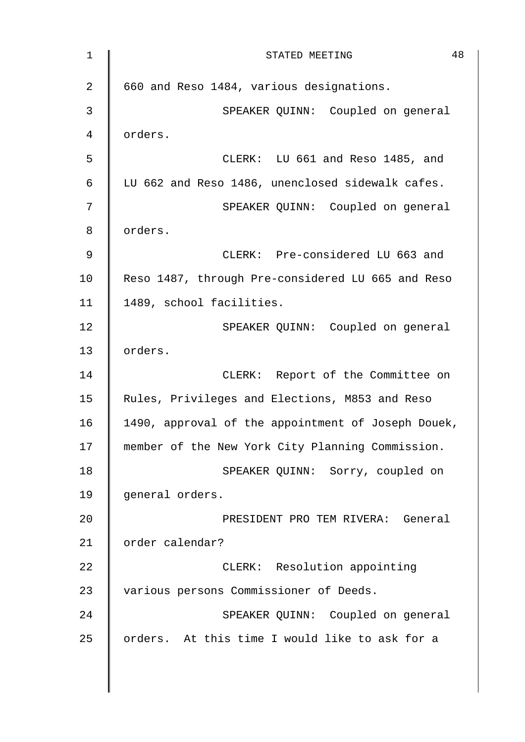1 || STATED MEETING 48 2 | 660 and Reso 1484, various designations. 3 || SPEAKER QUINN: Coupled on general 4 orders. 5 CLERK: LU 661 and Reso 1485, and 6 LU 662 and Reso 1486, unenclosed sidewalk cafes. 7 SPEAKER QUINN: Coupled on general 8 | orders. 9 CLERK: Pre-considered LU 663 and 10 Reso 1487, through Pre-considered LU 665 and Reso 11 | 1489, school facilities. 12 | SPEAKER QUINN: Coupled on general 13 | orders. 14 | CLERK: Report of the Committee on 15 | Rules, Privileges and Elections, M853 and Reso 16 | 1490, approval of the appointment of Joseph Douek, 17 | member of the New York City Planning Commission. 18 | SPEAKER QUINN: Sorry, coupled on 19 || general orders. 20 | RESIDENT PRO TEM RIVERA: General 21 | order calendar? 22 **CLERK:** Resolution appointing 23 | various persons Commissioner of Deeds. 24 SPEAKER OUINN: Coupled on general 25  $\parallel$  orders. At this time I would like to ask for a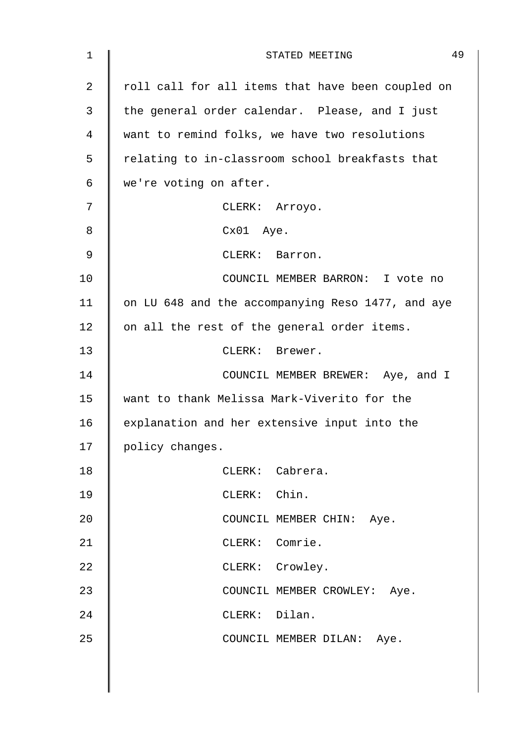| $\mathbf 1$    | 49<br>STATED MEETING                              |
|----------------|---------------------------------------------------|
| $\overline{2}$ | roll call for all items that have been coupled on |
| 3              | the general order calendar. Please, and I just    |
| 4              | want to remind folks, we have two resolutions     |
| 5              | relating to in-classroom school breakfasts that   |
| 6              | we're voting on after.                            |
| 7              | CLERK: Arroyo.                                    |
| 8              | Cx01 Aye.                                         |
| 9              | CLERK: Barron.                                    |
| 10             | COUNCIL MEMBER BARRON: I vote no                  |
| 11             | on LU 648 and the accompanying Reso 1477, and aye |
| 12             | on all the rest of the general order items.       |
| 13             | CLERK: Brewer.                                    |
| 14             | COUNCIL MEMBER BREWER: Aye, and I                 |
| 15             | want to thank Melissa Mark-Viverito for the       |
| 16             | explanation and her extensive input into the      |
| 17             | policy changes.                                   |
| 18             | CLERK: Cabrera.                                   |
| 19             | CLERK: Chin.                                      |
| 20             | COUNCIL MEMBER CHIN: Aye.                         |
| 21             | CLERK: Comrie.                                    |
| 22             | CLERK: Crowley.                                   |
| 23             | COUNCIL MEMBER CROWLEY: Aye.                      |
| 24             | CLERK: Dilan.                                     |
| 25             | COUNCIL MEMBER DILAN: Aye.                        |
|                |                                                   |
|                |                                                   |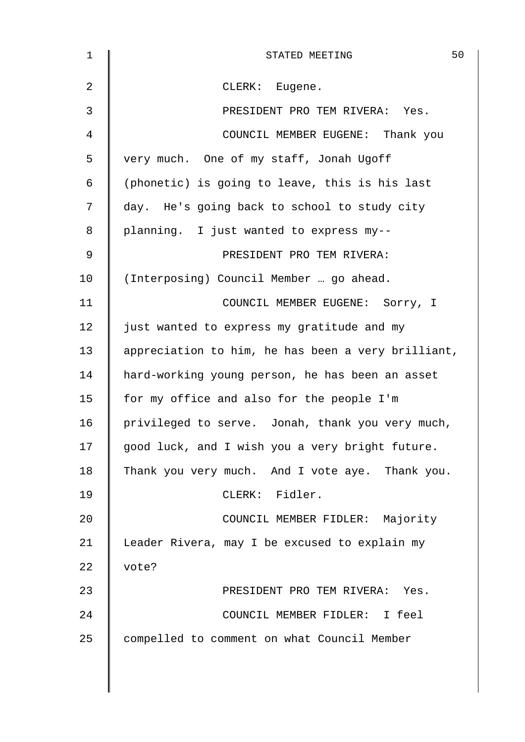| $\mathbf{1}$    | 50<br>STATED MEETING                               |
|-----------------|----------------------------------------------------|
| 2               | CLERK: Eugene.                                     |
| 3               | PRESIDENT PRO TEM RIVERA: Yes.                     |
| 4               | COUNCIL MEMBER EUGENE: Thank you                   |
| 5               | very much. One of my staff, Jonah Ugoff            |
| 6               | (phonetic) is going to leave, this is his last     |
| 7               | day. He's going back to school to study city       |
| 8               | planning. I just wanted to express my--            |
| 9               | PRESIDENT PRO TEM RIVERA:                          |
| 10 <sub>1</sub> | (Interposing) Council Member  go ahead.            |
| 11              | COUNCIL MEMBER EUGENE: Sorry, I                    |
| 12              | just wanted to express my gratitude and my         |
| 13              | appreciation to him, he has been a very brilliant, |
| 14              | hard-working young person, he has been an asset    |
| 15              | for my office and also for the people I'm          |
| 16              | privileged to serve. Jonah, thank you very much,   |
| 17              | good luck, and I wish you a very bright future.    |
| 18              | Thank you very much. And I vote aye. Thank you.    |
| 19              | CLERK: Fidler.                                     |
| 20              | COUNCIL MEMBER FIDLER: Majority                    |
| 21              | Leader Rivera, may I be excused to explain my      |
| 22              | vote?                                              |
| 23              | PRESIDENT PRO TEM RIVERA: Yes.                     |
| 24              | COUNCIL MEMBER FIDLER: I feel                      |
| 25              | compelled to comment on what Council Member        |
|                 |                                                    |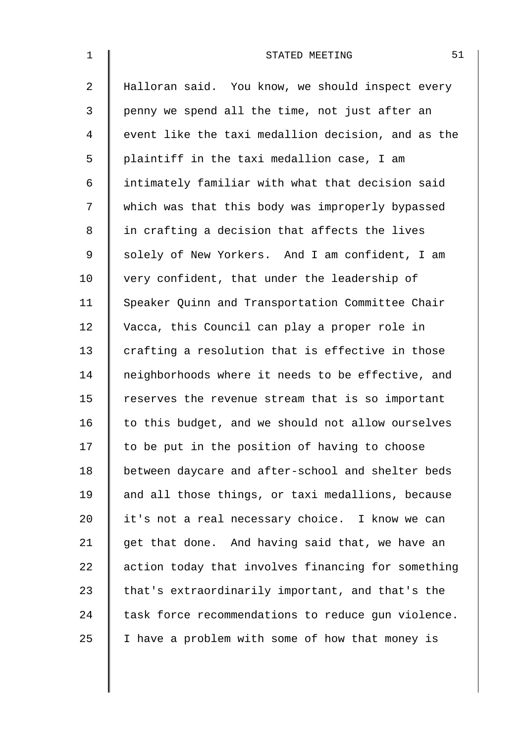| $\mathbf 1$    | 51<br>STATED MEETING                               |
|----------------|----------------------------------------------------|
| $\overline{a}$ | Halloran said. You know, we should inspect every   |
| 3              | penny we spend all the time, not just after an     |
| 4              | event like the taxi medallion decision, and as the |
| 5              | plaintiff in the taxi medallion case, I am         |
| 6              | intimately familiar with what that decision said   |
| 7              | which was that this body was improperly bypassed   |
| $8\,$          | in crafting a decision that affects the lives      |
| 9              | solely of New Yorkers. And I am confident, I am    |
| 10             | very confident, that under the leadership of       |
| 11             | Speaker Quinn and Transportation Committee Chair   |
| 12             | Vacca, this Council can play a proper role in      |
| 13             | crafting a resolution that is effective in those   |
| 14             | neighborhoods where it needs to be effective, and  |
| 15             | reserves the revenue stream that is so important   |
| 16             | to this budget, and we should not allow ourselves  |
| 17             | to be put in the position of having to choose      |
| 18             | between daycare and after-school and shelter beds  |
| 19             | and all those things, or taxi medallions, because  |
| 20             | it's not a real necessary choice. I know we can    |
| 21             | get that done. And having said that, we have an    |
| 22             | action today that involves financing for something |
| 23             | that's extraordinarily important, and that's the   |
| 24             | task force recommendations to reduce gun violence. |
| 25             | I have a problem with some of how that money is    |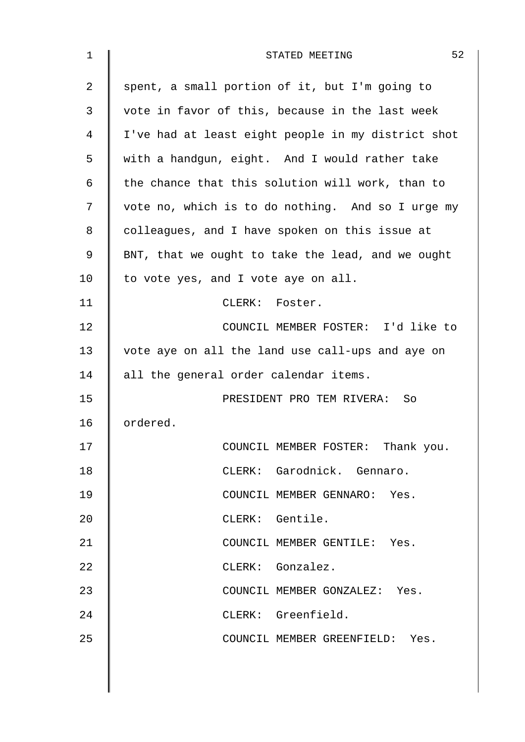| 1              | 52<br>STATED MEETING                               |
|----------------|----------------------------------------------------|
| $\overline{2}$ | spent, a small portion of it, but I'm going to     |
| 3              | vote in favor of this, because in the last week    |
| 4              | I've had at least eight people in my district shot |
| 5              | with a handgun, eight. And I would rather take     |
| 6              | the chance that this solution will work, than to   |
| 7              | vote no, which is to do nothing. And so I urge my  |
| 8              | colleagues, and I have spoken on this issue at     |
| 9              | BNT, that we ought to take the lead, and we ought  |
| 10             | to vote yes, and I vote aye on all.                |
| 11             | CLERK: Foster.                                     |
| 12             | COUNCIL MEMBER FOSTER: I'd like to                 |
| 13             | vote aye on all the land use call-ups and aye on   |
| 14             | all the general order calendar items.              |
| 15             | PRESIDENT PRO TEM RIVERA: So                       |
| 16             | ordered.                                           |
| 17             | COUNCIL MEMBER FOSTER: Thank you.                  |
| 18             | CLERK: Garodnick. Gennaro.                         |
| 19             | COUNCIL MEMBER GENNARO: Yes.                       |
| 20             | CLERK: Gentile.                                    |
| 21             | COUNCIL MEMBER GENTILE: Yes.                       |
| 22             | CLERK: Gonzalez.                                   |
| 23             | COUNCIL MEMBER GONZALEZ: Yes.                      |
| 24             | CLERK: Greenfield.                                 |
| 25             | COUNCIL MEMBER GREENFIELD: Yes.                    |
|                |                                                    |
|                |                                                    |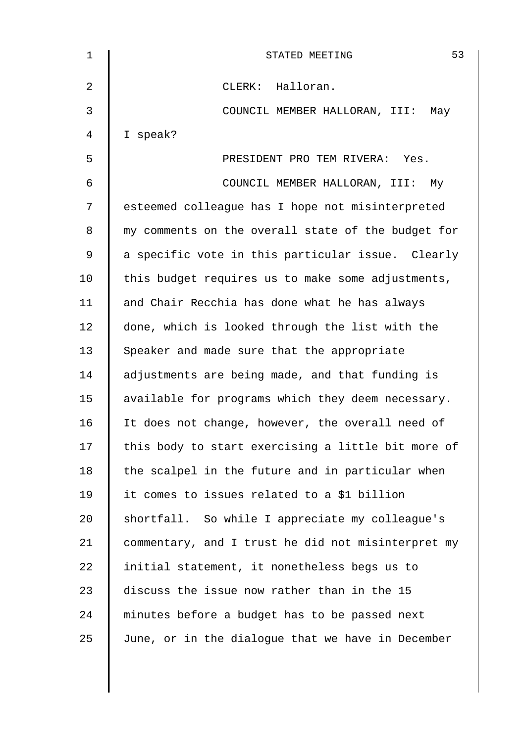| 1  | 53<br>STATED MEETING                               |
|----|----------------------------------------------------|
| 2  | CLERK: Halloran.                                   |
| 3  | COUNCIL MEMBER HALLORAN, III:<br>May               |
| 4  | I speak?                                           |
| 5  | PRESIDENT PRO TEM RIVERA: Yes.                     |
| 6  | COUNCIL MEMBER HALLORAN, III:<br>Мy                |
| 7  | esteemed colleague has I hope not misinterpreted   |
| 8  | my comments on the overall state of the budget for |
| 9  | a specific vote in this particular issue. Clearly  |
| 10 | this budget requires us to make some adjustments,  |
| 11 | and Chair Recchia has done what he has always      |
| 12 | done, which is looked through the list with the    |
| 13 | Speaker and made sure that the appropriate         |
| 14 | adjustments are being made, and that funding is    |
| 15 | available for programs which they deem necessary.  |
| 16 | It does not change, however, the overall need of   |
| 17 | this body to start exercising a little bit more of |
| 18 | the scalpel in the future and in particular when   |
| 19 | it comes to issues related to a \$1 billion        |
| 20 | shortfall. So while I appreciate my colleague's    |
| 21 | commentary, and I trust he did not misinterpret my |
| 22 | initial statement, it nonetheless begs us to       |
| 23 | discuss the issue now rather than in the 15        |
| 24 | minutes before a budget has to be passed next      |
| 25 | June, or in the dialogue that we have in December  |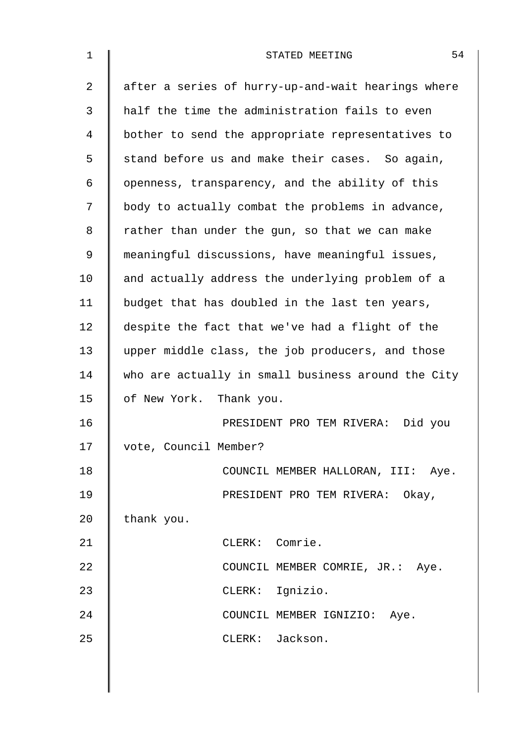| $\mathbf 1$ | 54<br>STATED MEETING                               |
|-------------|----------------------------------------------------|
| 2           | after a series of hurry-up-and-wait hearings where |
| 3           | half the time the administration fails to even     |
| 4           | bother to send the appropriate representatives to  |
| 5           | stand before us and make their cases. So again,    |
| 6           | openness, transparency, and the ability of this    |
| 7           | body to actually combat the problems in advance,   |
| 8           | rather than under the gun, so that we can make     |
| 9           | meaningful discussions, have meaningful issues,    |
| 10          | and actually address the underlying problem of a   |
| 11          | budget that has doubled in the last ten years,     |
| 12          | despite the fact that we've had a flight of the    |
| 13          | upper middle class, the job producers, and those   |
| 14          | who are actually in small business around the City |
| 15          | of New York. Thank you.                            |
| 16          | PRESIDENT PRO TEM RIVERA: Did you                  |
| 17          | vote, Council Member?                              |
| 18          | COUNCIL MEMBER HALLORAN, III: Aye.                 |
| 19          | PRESIDENT PRO TEM RIVERA: Okay,                    |
| 20          | thank you.                                         |
| 21          | CLERK: Comrie.                                     |
| 22          | COUNCIL MEMBER COMRIE, JR.: Aye.                   |
| 23          | CLERK: Ignizio.                                    |
| 24          | COUNCIL MEMBER IGNIZIO: Aye.                       |
| 25          | CLERK: Jackson.                                    |
|             |                                                    |
|             |                                                    |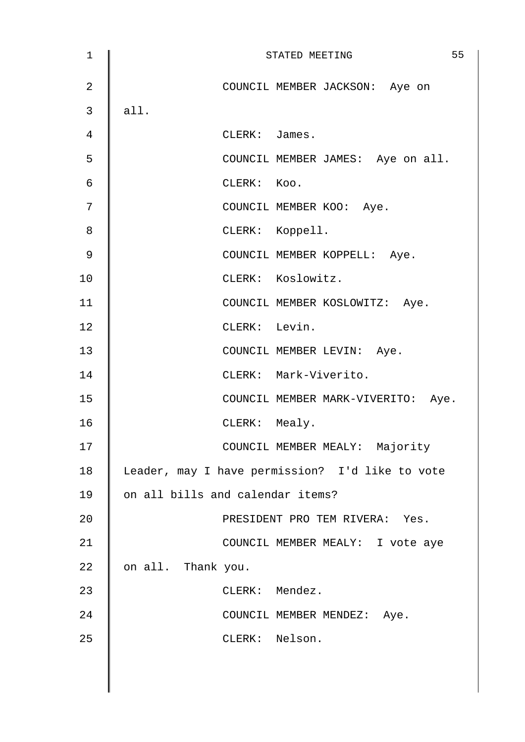| 1              | 55<br>STATED MEETING                            |
|----------------|-------------------------------------------------|
| $\overline{2}$ | COUNCIL MEMBER JACKSON: Aye on                  |
| 3              | all.                                            |
| 4              | CLERK: James.                                   |
| 5              | COUNCIL MEMBER JAMES: Aye on all.               |
| $\epsilon$     | CLERK: Koo.                                     |
| 7              | COUNCIL MEMBER KOO: Aye.                        |
| 8              | CLERK: Koppell.                                 |
| $\mathsf 9$    | COUNCIL MEMBER KOPPELL: Aye.                    |
| 10             | CLERK: Koslowitz.                               |
| 11             | COUNCIL MEMBER KOSLOWITZ: Aye.                  |
| 12             | CLERK: Levin.                                   |
| 13             | COUNCIL MEMBER LEVIN: Aye.                      |
| 14             | CLERK: Mark-Viverito.                           |
| 15             | COUNCIL MEMBER MARK-VIVERITO: Aye.              |
| 16             | CLERK: Mealy.                                   |
| 17             | COUNCIL MEMBER MEALY: Majority                  |
| 18             | Leader, may I have permission? I'd like to vote |
| 19             | on all bills and calendar items?                |
| 20             | PRESIDENT PRO TEM RIVERA: Yes.                  |
| 21             | COUNCIL MEMBER MEALY: I vote aye                |
| 22             | on all. Thank you.                              |
| 23             | CLERK: Mendez.                                  |
| 24             | COUNCIL MEMBER MENDEZ: Aye.                     |
| 25             | CLERK: Nelson.                                  |
|                |                                                 |
|                |                                                 |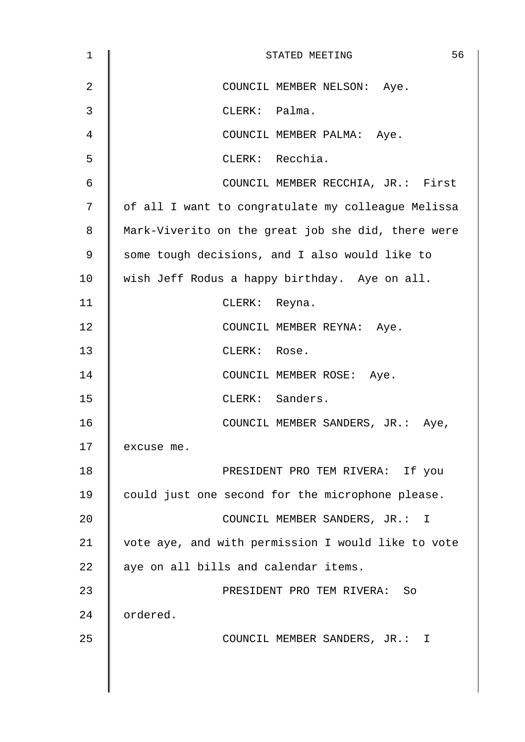| $\mathbf 1$ | 56<br>STATED MEETING                               |
|-------------|----------------------------------------------------|
| 2           | COUNCIL MEMBER NELSON: Aye.                        |
| 3           | CLERK: Palma.                                      |
| 4           | COUNCIL MEMBER PALMA: Aye.                         |
| 5           | CLERK: Recchia.                                    |
| 6           | COUNCIL MEMBER RECCHIA, JR.: First                 |
| 7           | of all I want to congratulate my colleague Melissa |
| 8           | Mark-Viverito on the great job she did, there were |
| 9           | some tough decisions, and I also would like to     |
| 10          | wish Jeff Rodus a happy birthday. Aye on all.      |
| 11          | CLERK: Reyna.                                      |
| 12          | COUNCIL MEMBER REYNA: Aye.                         |
| 13          | CLERK: Rose.                                       |
| 14          | COUNCIL MEMBER ROSE: Aye.                          |
| 15          | CLERK: Sanders.                                    |
| 16          | COUNCIL MEMBER SANDERS, JR.: Aye,                  |
| 17          | excuse me.                                         |
| 18          | PRESIDENT PRO TEM RIVERA: If you                   |
| 19          | could just one second for the microphone please.   |
| 20          | COUNCIL MEMBER SANDERS, JR.: I                     |
| 21          | vote aye, and with permission I would like to vote |
| 22          | aye on all bills and calendar items.               |
| 23          | PRESIDENT PRO TEM RIVERA: So                       |
| 24          | ordered.                                           |
| 25          | COUNCIL MEMBER SANDERS, JR.: I                     |
|             |                                                    |
|             |                                                    |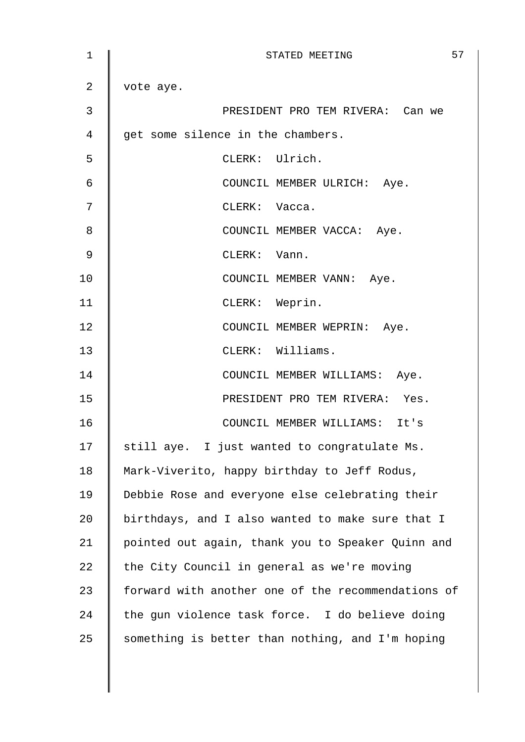| 1  | 57<br>STATED MEETING                               |
|----|----------------------------------------------------|
| 2  | vote aye.                                          |
| 3  | PRESIDENT PRO TEM RIVERA: Can we                   |
| 4  | get some silence in the chambers.                  |
| 5  | CLERK: Ulrich.                                     |
| 6  | COUNCIL MEMBER ULRICH: Aye.                        |
| 7  | CLERK: Vacca.                                      |
| 8  | COUNCIL MEMBER VACCA: Aye.                         |
| 9  | CLERK: Vann.                                       |
| 10 | COUNCIL MEMBER VANN: Aye.                          |
| 11 | CLERK: Weprin.                                     |
| 12 | COUNCIL MEMBER WEPRIN: Aye.                        |
| 13 | CLERK: Williams.                                   |
| 14 | COUNCIL MEMBER WILLIAMS: Aye.                      |
| 15 | PRESIDENT PRO TEM RIVERA: Yes.                     |
| 16 | COUNCIL MEMBER WILLIAMS: It's                      |
| 17 | still aye. I just wanted to congratulate Ms.       |
| 18 | Mark-Viverito, happy birthday to Jeff Rodus,       |
| 19 | Debbie Rose and everyone else celebrating their    |
| 20 | birthdays, and I also wanted to make sure that I   |
| 21 | pointed out again, thank you to Speaker Quinn and  |
| 22 | the City Council in general as we're moving        |
| 23 | forward with another one of the recommendations of |
| 24 | the gun violence task force. I do believe doing    |
| 25 | something is better than nothing, and I'm hoping   |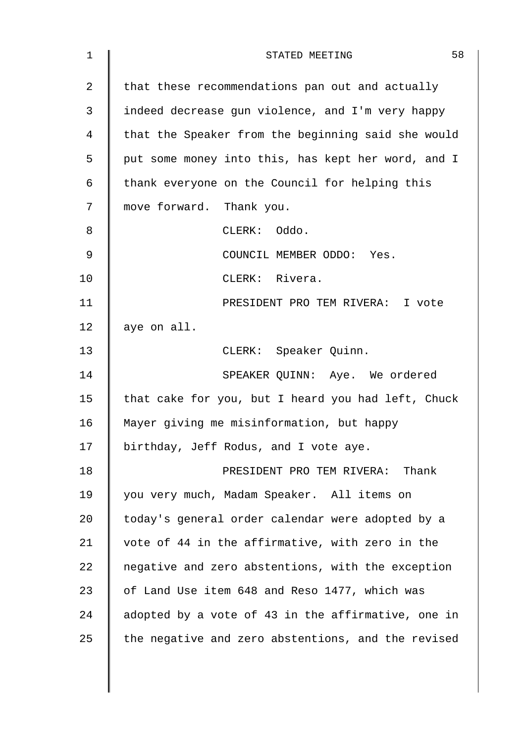| $\mathbf 1$    | 58<br>STATED MEETING                               |
|----------------|----------------------------------------------------|
| $\overline{2}$ | that these recommendations pan out and actually    |
| 3              | indeed decrease gun violence, and I'm very happy   |
| 4              | that the Speaker from the beginning said she would |
| 5              | put some money into this, has kept her word, and I |
| 6              | thank everyone on the Council for helping this     |
| 7              | move forward. Thank you.                           |
| 8              | CLERK: Oddo.                                       |
| 9              | COUNCIL MEMBER ODDO: Yes.                          |
| 10             | CLERK: Rivera.                                     |
| 11             | PRESIDENT PRO TEM RIVERA: I vote                   |
| 12             | aye on all.                                        |
| 13             | CLERK: Speaker Quinn.                              |
| 14             | SPEAKER QUINN: Aye. We ordered                     |
| 15             | that cake for you, but I heard you had left, Chuck |
| 16             | Mayer giving me misinformation, but happy          |
| 17             | birthday, Jeff Rodus, and I vote aye.              |
| 18             | PRESIDENT PRO TEM RIVERA: Thank                    |
| 19             | you very much, Madam Speaker. All items on         |
| 20             | today's general order calendar were adopted by a   |
| 21             | vote of 44 in the affirmative, with zero in the    |
| 22             | negative and zero abstentions, with the exception  |
| 23             | of Land Use item 648 and Reso 1477, which was      |
| 24             | adopted by a vote of 43 in the affirmative, one in |
| 25             | the negative and zero abstentions, and the revised |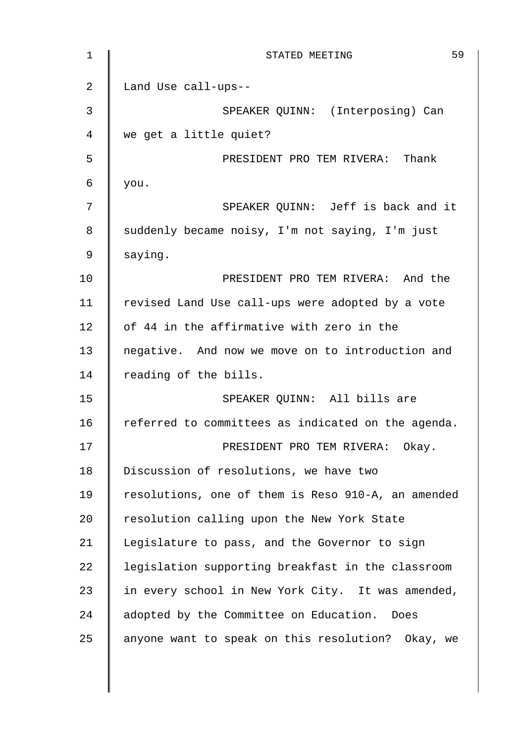| 1              | 59<br>STATED MEETING                               |
|----------------|----------------------------------------------------|
| $\overline{a}$ | Land Use call-ups--                                |
| 3              | SPEAKER QUINN: (Interposing) Can                   |
| 4              | we get a little quiet?                             |
| 5              | PRESIDENT PRO TEM RIVERA: Thank                    |
| 6              | you.                                               |
| 7              | SPEAKER QUINN: Jeff is back and it                 |
| 8              | suddenly became noisy, I'm not saying, I'm just    |
| 9              | saying.                                            |
| 10             | PRESIDENT PRO TEM RIVERA: And the                  |
| 11             | revised Land Use call-ups were adopted by a vote   |
| 12             | of 44 in the affirmative with zero in the          |
| 13             | negative. And now we move on to introduction and   |
| 14             | reading of the bills.                              |
| 15             | SPEAKER QUINN: All bills are                       |
| 16             | referred to committees as indicated on the agenda. |
| 17             | PRESIDENT PRO TEM RIVERA: Okay.                    |
| 18             | Discussion of resolutions, we have two             |
| 19             | resolutions, one of them is Reso 910-A, an amended |
| 20             | resolution calling upon the New York State         |
| 21             | Legislature to pass, and the Governor to sign      |
| 22             | legislation supporting breakfast in the classroom  |
| 23             | in every school in New York City. It was amended,  |
| 24             | adopted by the Committee on Education.<br>Does     |
| 25             | anyone want to speak on this resolution? Okay, we  |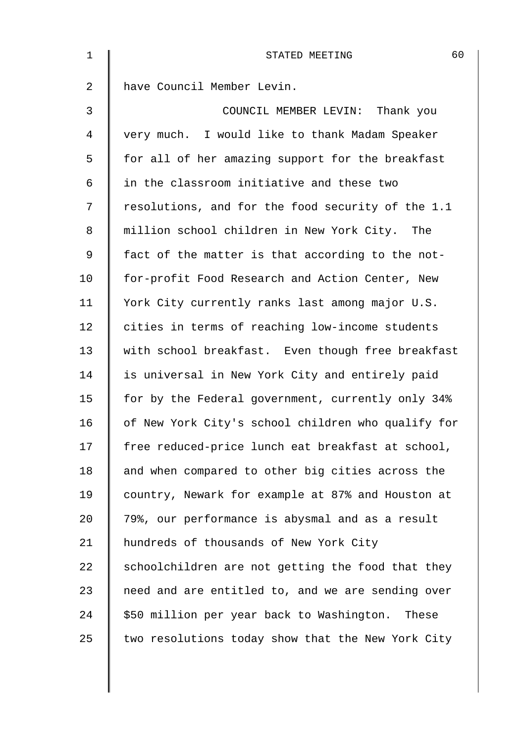| 1          | 60<br>STATED MEETING                               |
|------------|----------------------------------------------------|
| 2          | have Council Member Levin.                         |
| 3          | COUNCIL MEMBER LEVIN: Thank you                    |
| 4          | very much. I would like to thank Madam Speaker     |
| 5          | for all of her amazing support for the breakfast   |
| $\epsilon$ | in the classroom initiative and these two          |
| 7          | resolutions, and for the food security of the 1.1  |
| 8          | million school children in New York City. The      |
| 9          | fact of the matter is that according to the not-   |
| 10         | for-profit Food Research and Action Center, New    |
| 11         | York City currently ranks last among major U.S.    |
| 12         | cities in terms of reaching low-income students    |
| 13         | with school breakfast. Even though free breakfast  |
| 14         | is universal in New York City and entirely paid    |
| 15         | for by the Federal government, currently only 34%  |
| 16         | of New York City's school children who qualify for |
| 17         | free reduced-price lunch eat breakfast at school,  |
| 18         | and when compared to other big cities across the   |
| 19         | country, Newark for example at 87% and Houston at  |
| 20         | 79%, our performance is abysmal and as a result    |
| 21         | hundreds of thousands of New York City             |
| 22         | schoolchildren are not getting the food that they  |
| 23         | need and are entitled to, and we are sending over  |
| 24         | \$50 million per year back to Washington. These    |
| 25         | two resolutions today show that the New York City  |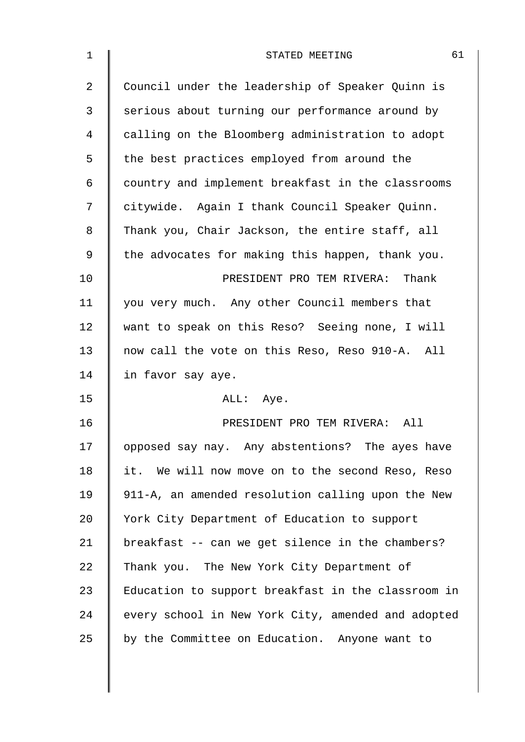| 1              | 61<br>STATED MEETING                               |
|----------------|----------------------------------------------------|
| $\overline{2}$ | Council under the leadership of Speaker Quinn is   |
| 3              | serious about turning our performance around by    |
| 4              | calling on the Bloomberg administration to adopt   |
| 5              | the best practices employed from around the        |
| 6              | country and implement breakfast in the classrooms  |
| 7              | citywide. Again I thank Council Speaker Quinn.     |
| 8              | Thank you, Chair Jackson, the entire staff, all    |
| 9              | the advocates for making this happen, thank you.   |
| 10             | PRESIDENT PRO TEM RIVERA: Thank                    |
| 11             | you very much. Any other Council members that      |
| 12             | want to speak on this Reso? Seeing none, I will    |
| 13             | now call the vote on this Reso, Reso 910-A. All    |
| 14             | in favor say aye.                                  |
| 15             | ALL: Aye.                                          |
| 16             | PRESIDENT PRO TEM RIVERA: All                      |
| 17             | opposed say nay. Any abstentions? The ayes have    |
| 18             | it. We will now move on to the second Reso, Reso   |
| 19             | 911-A, an amended resolution calling upon the New  |
| 20             | York City Department of Education to support       |
| 21             | breakfast -- can we get silence in the chambers?   |
| 22             | Thank you. The New York City Department of         |
| 23             | Education to support breakfast in the classroom in |
| 24             | every school in New York City, amended and adopted |
| 25             | by the Committee on Education. Anyone want to      |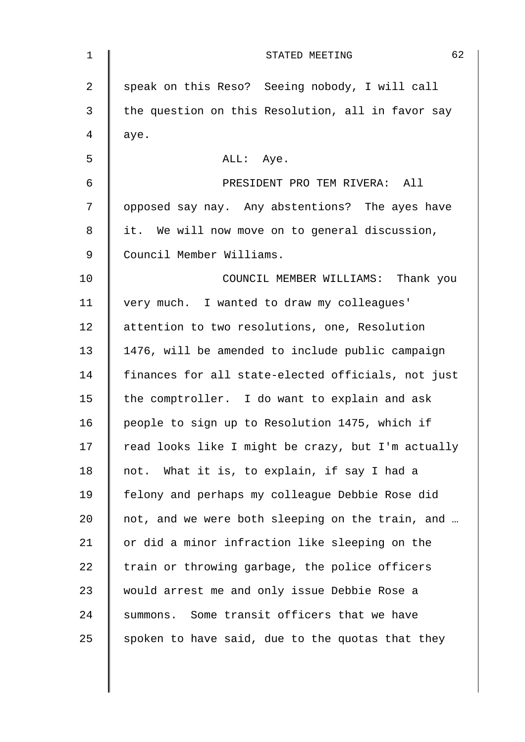| $\mathbf 1$    | 62<br>STATED MEETING                               |
|----------------|----------------------------------------------------|
| $\overline{2}$ | speak on this Reso? Seeing nobody, I will call     |
| 3              | the question on this Resolution, all in favor say  |
| $\overline{4}$ | aye.                                               |
| 5              | ALL: Aye.                                          |
| $\epsilon$     | PRESIDENT PRO TEM RIVERA: All                      |
| 7              | opposed say nay. Any abstentions? The ayes have    |
| 8              | it. We will now move on to general discussion,     |
| $\mathsf 9$    | Council Member Williams.                           |
| 10             | COUNCIL MEMBER WILLIAMS: Thank you                 |
| 11             | very much. I wanted to draw my colleagues'         |
| 12             | attention to two resolutions, one, Resolution      |
| 13             | 1476, will be amended to include public campaign   |
| 14             | finances for all state-elected officials, not just |
| 15             | the comptroller. I do want to explain and ask      |
| 16             | people to sign up to Resolution 1475, which if     |
| 17             | read looks like I might be crazy, but I'm actually |
| 18             | not. What it is, to explain, if say I had a        |
| 19             | felony and perhaps my colleague Debbie Rose did    |
| 20             | not, and we were both sleeping on the train, and   |
| 21             | or did a minor infraction like sleeping on the     |
| 22             | train or throwing garbage, the police officers     |
| 23             | would arrest me and only issue Debbie Rose a       |
| 24             | summons. Some transit officers that we have        |
| 25             | spoken to have said, due to the quotas that they   |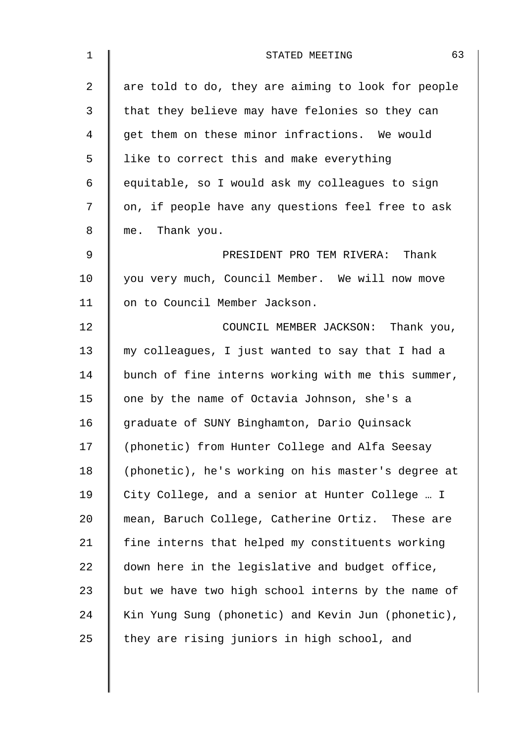| 1              | 63<br>STATED MEETING                               |
|----------------|----------------------------------------------------|
| $\overline{2}$ | are told to do, they are aiming to look for people |
| 3              | that they believe may have felonies so they can    |
| 4              | get them on these minor infractions. We would      |
| 5              | like to correct this and make everything           |
| 6              | equitable, so I would ask my colleagues to sign    |
| 7              | on, if people have any questions feel free to ask  |
| 8              | me. Thank you.                                     |
| 9              | PRESIDENT PRO TEM RIVERA: Thank                    |
| 10             | you very much, Council Member. We will now move    |
| 11             | on to Council Member Jackson.                      |
| 12             | COUNCIL MEMBER JACKSON: Thank you,                 |
| 13             | my colleagues, I just wanted to say that I had a   |
| 14             | bunch of fine interns working with me this summer, |
| 15             | one by the name of Octavia Johnson, she's a        |
| 16             | graduate of SUNY Binghamton, Dario Quinsack        |
| 17             | (phonetic) from Hunter College and Alfa Seesay     |
| 18             | (phonetic), he's working on his master's degree at |
| 19             | City College, and a senior at Hunter College  I    |
| 20             | mean, Baruch College, Catherine Ortiz. These are   |
| 21             | fine interns that helped my constituents working   |
| 22             | down here in the legislative and budget office,    |
| 23             | but we have two high school interns by the name of |
| 24             | Kin Yung Sung (phonetic) and Kevin Jun (phonetic), |
| 25             | they are rising juniors in high school, and        |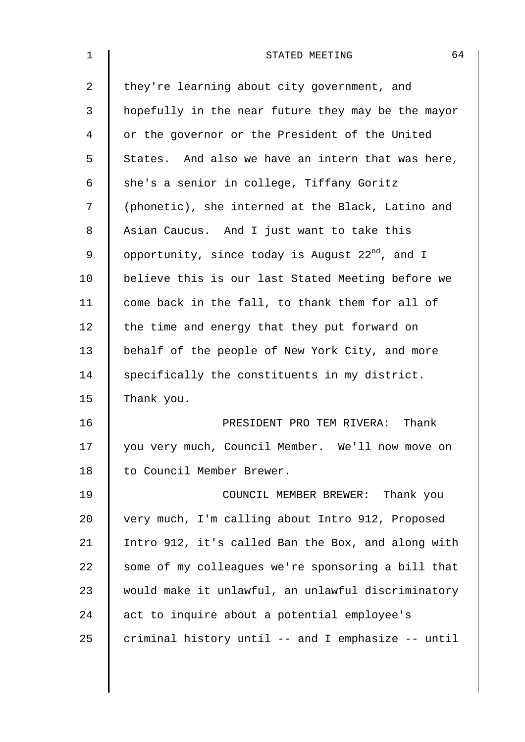| 1  | 64<br>STATED MEETING                                 |
|----|------------------------------------------------------|
| 2  | they're learning about city government, and          |
| 3  | hopefully in the near future they may be the mayor   |
| 4  | or the governor or the President of the United       |
| 5  | States. And also we have an intern that was here,    |
| 6  | she's a senior in college, Tiffany Goritz            |
| 7  | (phonetic), she interned at the Black, Latino and    |
| 8  | Asian Caucus. And I just want to take this           |
| 9  | opportunity, since today is August $22^{nd}$ , and I |
| 10 | believe this is our last Stated Meeting before we    |
| 11 | come back in the fall, to thank them for all of      |
| 12 | the time and energy that they put forward on         |
| 13 | behalf of the people of New York City, and more      |
| 14 | specifically the constituents in my district.        |
| 15 | Thank you.                                           |
| 16 | PRESIDENT PRO TEM RIVERA: Thank                      |
| 17 | you very much, Council Member. We'll now move on     |
| 18 | to Council Member Brewer.                            |
| 19 | COUNCIL MEMBER BREWER: Thank you                     |
| 20 | very much, I'm calling about Intro 912, Proposed     |
| 21 | Intro 912, it's called Ban the Box, and along with   |
| 22 | some of my colleagues we're sponsoring a bill that   |
| 23 | would make it unlawful, an unlawful discriminatory   |
| 24 | act to inquire about a potential employee's          |
| 25 | criminal history until -- and I emphasize -- until   |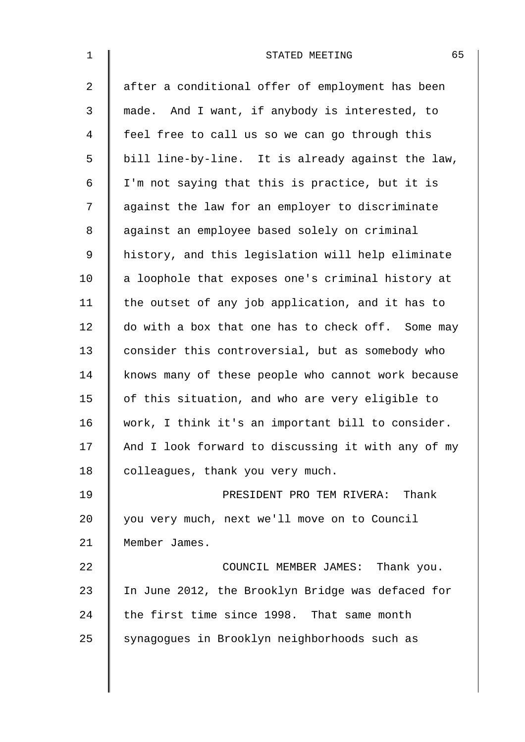| $\mathbf 1$    | 65<br>STATED MEETING                               |
|----------------|----------------------------------------------------|
| 2              | after a conditional offer of employment has been   |
| 3              | made. And I want, if anybody is interested, to     |
| $\overline{4}$ | feel free to call us so we can go through this     |
| 5              | bill line-by-line. It is already against the law,  |
| 6              | I'm not saying that this is practice, but it is    |
| 7              | against the law for an employer to discriminate    |
| 8              | against an employee based solely on criminal       |
| $\mathsf 9$    | history, and this legislation will help eliminate  |
| 10             | a loophole that exposes one's criminal history at  |
| 11             | the outset of any job application, and it has to   |
| 12             | do with a box that one has to check off. Some may  |
| 13             | consider this controversial, but as somebody who   |
| 14             | knows many of these people who cannot work because |
| 15             | of this situation, and who are very eligible to    |
| 16             | work, I think it's an important bill to consider.  |
| 17             | And I look forward to discussing it with any of my |
| 18             | colleagues, thank you very much.                   |
| 19             | PRESIDENT PRO TEM RIVERA: Thank                    |
| 20             | you very much, next we'll move on to Council       |
| 21             | Member James.                                      |
| 22             | COUNCIL MEMBER JAMES: Thank you.                   |
| 23             | In June 2012, the Brooklyn Bridge was defaced for  |
| 24             | the first time since 1998. That same month         |
| 25             | synagogues in Brooklyn neighborhoods such as       |
|                |                                                    |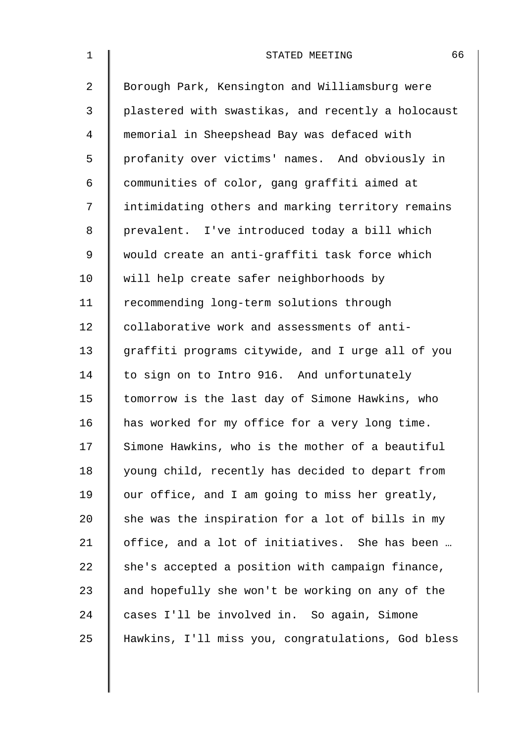| $\mathbf 1$    | 66<br>STATED MEETING                               |
|----------------|----------------------------------------------------|
| $\overline{2}$ | Borough Park, Kensington and Williamsburg were     |
| 3              | plastered with swastikas, and recently a holocaust |
| 4              | memorial in Sheepshead Bay was defaced with        |
| 5              | profanity over victims' names. And obviously in    |
| 6              | communities of color, gang graffiti aimed at       |
| 7              | intimidating others and marking territory remains  |
| 8              | prevalent. I've introduced today a bill which      |
| 9              | would create an anti-graffiti task force which     |
| 10             | will help create safer neighborhoods by            |
| 11             | recommending long-term solutions through           |
| 12             | collaborative work and assessments of anti-        |
| 13             | graffiti programs citywide, and I urge all of you  |
| 14             | to sign on to Intro 916. And unfortunately         |
| 15             | tomorrow is the last day of Simone Hawkins, who    |
| 16             | has worked for my office for a very long time.     |
| 17             | Simone Hawkins, who is the mother of a beautiful   |
| 18             | young child, recently has decided to depart from   |
| 19             | our office, and I am going to miss her greatly,    |
| 20             | she was the inspiration for a lot of bills in my   |
| 21             | office, and a lot of initiatives. She has been     |
| 22             | she's accepted a position with campaign finance,   |
| 23             | and hopefully she won't be working on any of the   |
| 24             | cases I'll be involved in. So again, Simone        |
| 25             | Hawkins, I'll miss you, congratulations, God bless |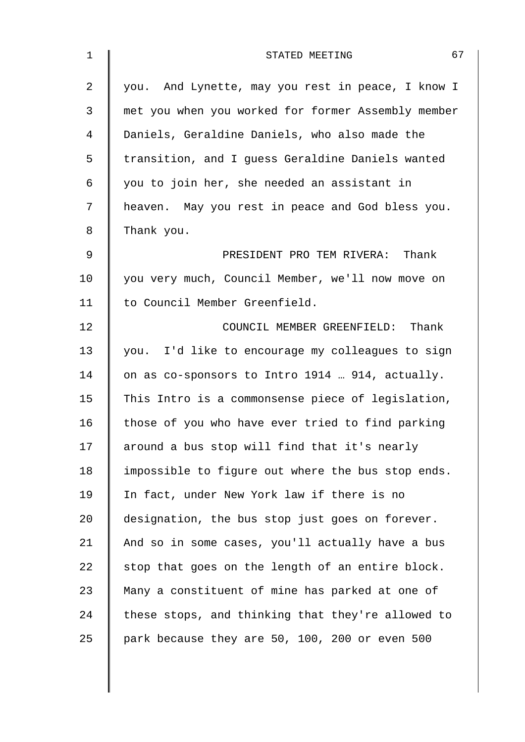| 1           | 67<br>STATED MEETING                               |
|-------------|----------------------------------------------------|
| 2           | you. And Lynette, may you rest in peace, I know I  |
| 3           | met you when you worked for former Assembly member |
| 4           | Daniels, Geraldine Daniels, who also made the      |
| 5           | transition, and I guess Geraldine Daniels wanted   |
| 6           | you to join her, she needed an assistant in        |
| 7           | heaven. May you rest in peace and God bless you.   |
| 8           | Thank you.                                         |
| $\mathsf 9$ | PRESIDENT PRO TEM RIVERA: Thank                    |
| 10          | you very much, Council Member, we'll now move on   |
| 11          | to Council Member Greenfield.                      |
| 12          | COUNCIL MEMBER GREENFIELD: Thank                   |
| 13          | you. I'd like to encourage my colleagues to sign   |
| 14          | on as co-sponsors to Intro 1914  914, actually.    |
| 15          | This Intro is a commonsense piece of legislation,  |
| 16          | those of you who have ever tried to find parking   |
| 17          | around a bus stop will find that it's nearly       |
| 18          | impossible to figure out where the bus stop ends.  |
| 19          | In fact, under New York law if there is no         |
| 20          | designation, the bus stop just goes on forever.    |
| 21          | And so in some cases, you'll actually have a bus   |
| 22          | stop that goes on the length of an entire block.   |
| 23          | Many a constituent of mine has parked at one of    |
| 24          | these stops, and thinking that they're allowed to  |
| 25          | park because they are 50, 100, 200 or even 500     |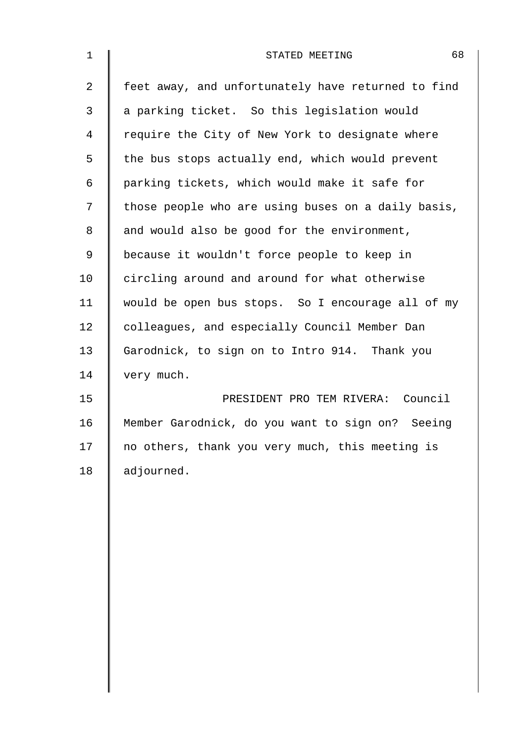| $\mathbf 1$ | 68<br>STATED MEETING                               |
|-------------|----------------------------------------------------|
| 2           | feet away, and unfortunately have returned to find |
| 3           | a parking ticket. So this legislation would        |
| 4           | require the City of New York to designate where    |
| 5           | the bus stops actually end, which would prevent    |
| 6           | parking tickets, which would make it safe for      |
| 7           | those people who are using buses on a daily basis, |
| 8           | and would also be good for the environment,        |
| $\mathsf 9$ | because it wouldn't force people to keep in        |
| 10          | circling around and around for what otherwise      |
| 11          | would be open bus stops. So I encourage all of my  |
| 12          | colleagues, and especially Council Member Dan      |
| 13          | Garodnick, to sign on to Intro 914. Thank you      |
| 14          | very much.                                         |
| 15          | PRESIDENT PRO TEM RIVERA: Council                  |
| 16          | Member Garodnick, do you want to sign on? Seeing   |
| 17          | no others, thank you very much, this meeting is    |
| 18          | adjourned.                                         |
|             |                                                    |